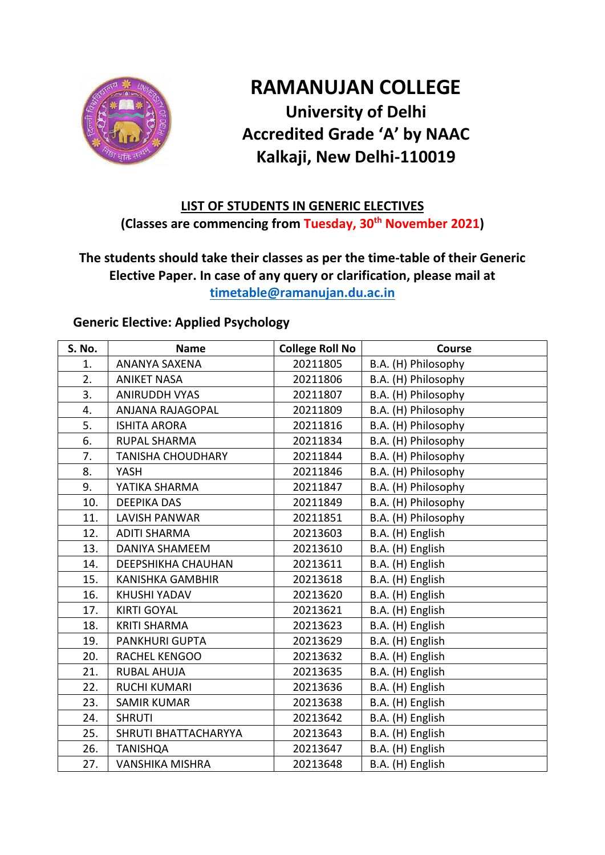

# **RAMANUJAN COLLEGE University of Delhi Accredited Grade 'A' by NAAC Kalkaji, New Delhi-110019**

### **LIST OF STUDENTS IN GENERIC ELECTIVES (Classes are commencing from Tuesday, 30 th November 2021)**

### **The students should take their classes as per the time-table of their Generic Elective Paper. In case of any query or clarification, please mail at [timetable@ramanujan.du.ac.in](mailto:timetable@ramanujan.du.ac.in)**

#### **Generic Elective: Applied Psychology**

| S. No. | <b>Name</b>               | <b>College Roll No</b> | Course              |
|--------|---------------------------|------------------------|---------------------|
| 1.     | ANANYA SAXENA             | 20211805               | B.A. (H) Philosophy |
| 2.     | <b>ANIKET NASA</b>        | 20211806               | B.A. (H) Philosophy |
| 3.     | <b>ANIRUDDH VYAS</b>      | 20211807               | B.A. (H) Philosophy |
| 4.     | ANJANA RAJAGOPAL          | 20211809               | B.A. (H) Philosophy |
| 5.     | <b>ISHITA ARORA</b>       | 20211816               | B.A. (H) Philosophy |
| 6.     | <b>RUPAL SHARMA</b>       | 20211834               | B.A. (H) Philosophy |
| 7.     | <b>TANISHA CHOUDHARY</b>  | 20211844               | B.A. (H) Philosophy |
| 8.     | YASH                      | 20211846               | B.A. (H) Philosophy |
| 9.     | YATIKA SHARMA             | 20211847               | B.A. (H) Philosophy |
| 10.    | <b>DEEPIKA DAS</b>        | 20211849               | B.A. (H) Philosophy |
| 11.    | <b>LAVISH PANWAR</b>      | 20211851               | B.A. (H) Philosophy |
| 12.    | <b>ADITI SHARMA</b>       | 20213603               | B.A. (H) English    |
| 13.    | <b>DANIYA SHAMEEM</b>     | 20213610               | B.A. (H) English    |
| 14.    | <b>DEEPSHIKHA CHAUHAN</b> | 20213611               | B.A. (H) English    |
| 15.    | <b>KANISHKA GAMBHIR</b>   | 20213618               | B.A. (H) English    |
| 16.    | <b>KHUSHI YADAV</b>       | 20213620               | B.A. (H) English    |
| 17.    | <b>KIRTI GOYAL</b>        | 20213621               | B.A. (H) English    |
| 18.    | <b>KRITI SHARMA</b>       | 20213623               | B.A. (H) English    |
| 19.    | <b>PANKHURI GUPTA</b>     | 20213629               | B.A. (H) English    |
| 20.    | RACHEL KENGOO             | 20213632               | B.A. (H) English    |
| 21.    | <b>RUBAL AHUJA</b>        | 20213635               | B.A. (H) English    |
| 22.    | <b>RUCHI KUMARI</b>       | 20213636               | B.A. (H) English    |
| 23.    | <b>SAMIR KUMAR</b>        | 20213638               | B.A. (H) English    |
| 24.    | <b>SHRUTI</b>             | 20213642               | B.A. (H) English    |
| 25.    | SHRUTI BHATTACHARYYA      | 20213643               | B.A. (H) English    |
| 26.    | <b>TANISHQA</b>           | 20213647               | B.A. (H) English    |
| 27.    | <b>VANSHIKA MISHRA</b>    | 20213648               | B.A. (H) English    |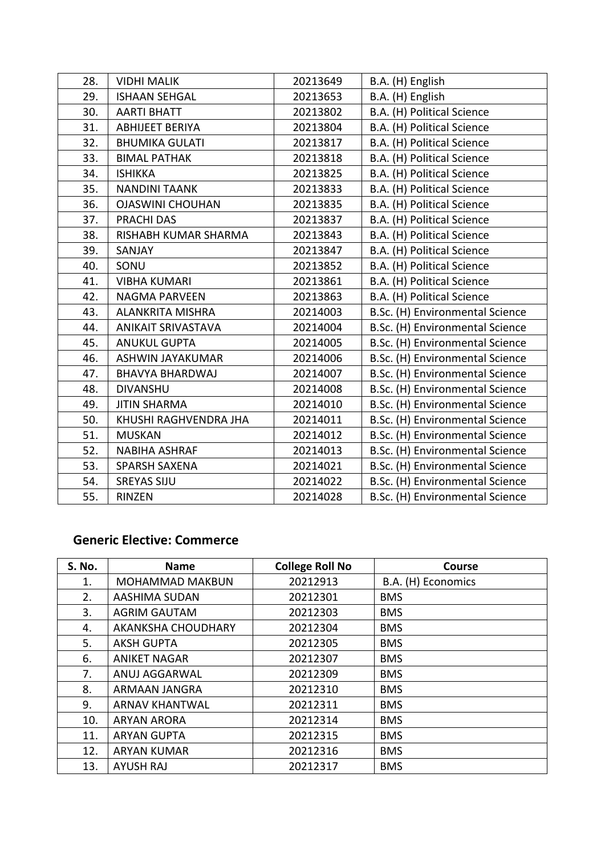| 28. | <b>VIDHI MALIK</b>        | 20213649 | B.A. (H) English                |
|-----|---------------------------|----------|---------------------------------|
| 29. | <b>ISHAAN SEHGAL</b>      | 20213653 | B.A. (H) English                |
| 30. | <b>AARTI BHATT</b>        | 20213802 | B.A. (H) Political Science      |
| 31. | <b>ABHIJEET BERIYA</b>    | 20213804 | B.A. (H) Political Science      |
| 32. | <b>BHUMIKA GULATI</b>     | 20213817 | B.A. (H) Political Science      |
| 33. | <b>BIMAL PATHAK</b>       | 20213818 | B.A. (H) Political Science      |
| 34. | <b>ISHIKKA</b>            | 20213825 | B.A. (H) Political Science      |
| 35. | <b>NANDINI TAANK</b>      | 20213833 | B.A. (H) Political Science      |
| 36. | <b>OJASWINI CHOUHAN</b>   | 20213835 | B.A. (H) Political Science      |
| 37. | PRACHI DAS                | 20213837 | B.A. (H) Political Science      |
| 38. | RISHABH KUMAR SHARMA      | 20213843 | B.A. (H) Political Science      |
| 39. | SANJAY                    | 20213847 | B.A. (H) Political Science      |
| 40. | SONU                      | 20213852 | B.A. (H) Political Science      |
| 41. | <b>VIBHA KUMARI</b>       | 20213861 | B.A. (H) Political Science      |
| 42. | <b>NAGMA PARVEEN</b>      | 20213863 | B.A. (H) Political Science      |
| 43. | <b>ALANKRITA MISHRA</b>   | 20214003 | B.Sc. (H) Environmental Science |
| 44. | <b>ANIKAIT SRIVASTAVA</b> | 20214004 | B.Sc. (H) Environmental Science |
| 45. | <b>ANUKUL GUPTA</b>       | 20214005 | B.Sc. (H) Environmental Science |
| 46. | <b>ASHWIN JAYAKUMAR</b>   | 20214006 | B.Sc. (H) Environmental Science |
| 47. | <b>BHAVYA BHARDWAJ</b>    | 20214007 | B.Sc. (H) Environmental Science |
| 48. | <b>DIVANSHU</b>           | 20214008 | B.Sc. (H) Environmental Science |
| 49. | <b>JITIN SHARMA</b>       | 20214010 | B.Sc. (H) Environmental Science |
| 50. | KHUSHI RAGHVENDRA JHA     | 20214011 | B.Sc. (H) Environmental Science |
| 51. | <b>MUSKAN</b>             | 20214012 | B.Sc. (H) Environmental Science |
| 52. | <b>NABIHA ASHRAF</b>      | 20214013 | B.Sc. (H) Environmental Science |
| 53. | <b>SPARSH SAXENA</b>      | 20214021 | B.Sc. (H) Environmental Science |
| 54. | <b>SREYAS SIJU</b>        | 20214022 | B.Sc. (H) Environmental Science |
| 55. | RINZEN                    | 20214028 | B.Sc. (H) Environmental Science |

#### **Generic Elective: Commerce**

| <b>S. No.</b> | <b>Name</b>            | <b>College Roll No</b> | <b>Course</b>      |
|---------------|------------------------|------------------------|--------------------|
| 1.            | <b>MOHAMMAD MAKBUN</b> | 20212913               | B.A. (H) Economics |
| 2.            | AASHIMA SUDAN          | 20212301               | <b>BMS</b>         |
| 3.            | <b>AGRIM GAUTAM</b>    | 20212303               | <b>BMS</b>         |
| 4.            | AKANKSHA CHOUDHARY     | 20212304               | <b>BMS</b>         |
| 5.            | <b>AKSH GUPTA</b>      | 20212305               | <b>BMS</b>         |
| 6.            | <b>ANIKET NAGAR</b>    | 20212307               | <b>BMS</b>         |
| 7.            | ANUJ AGGARWAL          | 20212309               | <b>BMS</b>         |
| 8.            | ARMAAN JANGRA          | 20212310               | <b>BMS</b>         |
| 9.            | <b>ARNAV KHANTWAL</b>  | 20212311               | <b>BMS</b>         |
| 10.           | <b>ARYAN ARORA</b>     | 20212314               | <b>BMS</b>         |
| 11.           | <b>ARYAN GUPTA</b>     | 20212315               | <b>BMS</b>         |
| 12.           | <b>ARYAN KUMAR</b>     | 20212316               | <b>BMS</b>         |
| 13.           | <b>AYUSH RAJ</b>       | 20212317               | <b>BMS</b>         |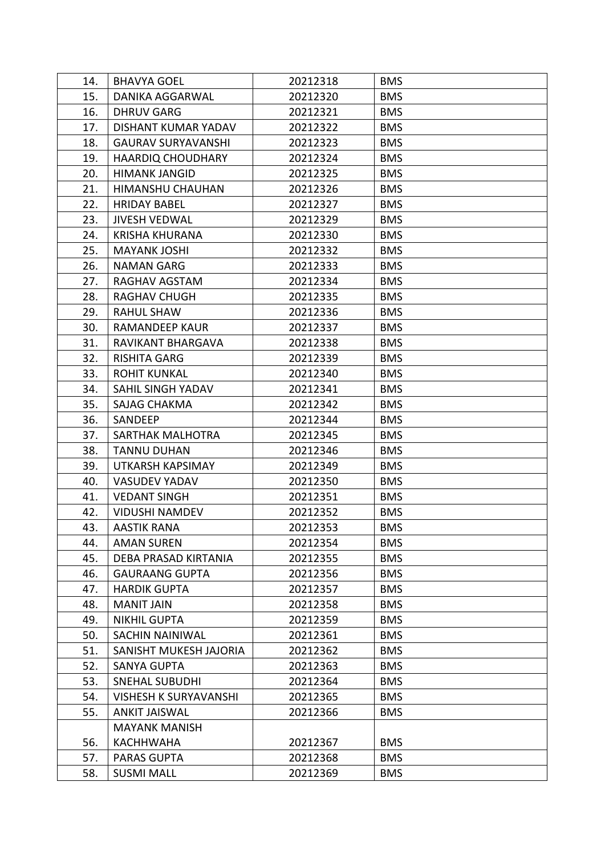| 14. | <b>BHAVYA GOEL</b>           | 20212318 | <b>BMS</b> |
|-----|------------------------------|----------|------------|
| 15. | DANIKA AGGARWAL              | 20212320 | <b>BMS</b> |
| 16. | <b>DHRUV GARG</b>            | 20212321 | <b>BMS</b> |
| 17. | DISHANT KUMAR YADAV          | 20212322 | <b>BMS</b> |
| 18. | <b>GAURAV SURYAVANSHI</b>    | 20212323 | <b>BMS</b> |
| 19. | <b>HAARDIQ CHOUDHARY</b>     | 20212324 | <b>BMS</b> |
| 20. | <b>HIMANK JANGID</b>         | 20212325 | <b>BMS</b> |
| 21. | HIMANSHU CHAUHAN             | 20212326 | <b>BMS</b> |
| 22. | <b>HRIDAY BABEL</b>          | 20212327 | <b>BMS</b> |
| 23. | <b>JIVESH VEDWAL</b>         | 20212329 | <b>BMS</b> |
| 24. | <b>KRISHA KHURANA</b>        | 20212330 | <b>BMS</b> |
| 25. | <b>MAYANK JOSHI</b>          | 20212332 | <b>BMS</b> |
| 26. | <b>NAMAN GARG</b>            | 20212333 | <b>BMS</b> |
| 27. | RAGHAV AGSTAM                | 20212334 | <b>BMS</b> |
| 28. | <b>RAGHAV CHUGH</b>          | 20212335 | <b>BMS</b> |
| 29. | <b>RAHUL SHAW</b>            | 20212336 | <b>BMS</b> |
| 30. | <b>RAMANDEEP KAUR</b>        | 20212337 | <b>BMS</b> |
| 31. | RAVIKANT BHARGAVA            | 20212338 | <b>BMS</b> |
| 32. | <b>RISHITA GARG</b>          | 20212339 | <b>BMS</b> |
| 33. | <b>ROHIT KUNKAL</b>          | 20212340 | <b>BMS</b> |
| 34. | SAHIL SINGH YADAV            | 20212341 | <b>BMS</b> |
| 35. | <b>SAJAG CHAKMA</b>          | 20212342 | <b>BMS</b> |
| 36. | SANDEEP                      | 20212344 | <b>BMS</b> |
| 37. | SARTHAK MALHOTRA             | 20212345 | <b>BMS</b> |
| 38. | <b>TANNU DUHAN</b>           | 20212346 | <b>BMS</b> |
| 39. | UTKARSH KAPSIMAY             | 20212349 | <b>BMS</b> |
| 40. | <b>VASUDEV YADAV</b>         | 20212350 | <b>BMS</b> |
| 41. | <b>VEDANT SINGH</b>          | 20212351 | <b>BMS</b> |
| 42. | <b>VIDUSHI NAMDEV</b>        | 20212352 | <b>BMS</b> |
| 43. | <b>AASTIK RANA</b>           | 20212353 | <b>BMS</b> |
| 44. | <b>AMAN SUREN</b>            | 20212354 | <b>BMS</b> |
| 45. | DEBA PRASAD KIRTANIA         | 20212355 | <b>BMS</b> |
| 46. | <b>GAURAANG GUPTA</b>        | 20212356 | <b>BMS</b> |
| 47. | <b>HARDIK GUPTA</b>          | 20212357 | <b>BMS</b> |
| 48. | <b>MANIT JAIN</b>            | 20212358 | <b>BMS</b> |
| 49. | <b>NIKHIL GUPTA</b>          | 20212359 | <b>BMS</b> |
| 50. | <b>SACHIN NAINIWAL</b>       | 20212361 | <b>BMS</b> |
| 51. | SANISHT MUKESH JAJORIA       | 20212362 | <b>BMS</b> |
| 52. | <b>SANYA GUPTA</b>           | 20212363 | <b>BMS</b> |
| 53. | <b>SNEHAL SUBUDHI</b>        | 20212364 | <b>BMS</b> |
| 54. | <b>VISHESH K SURYAVANSHI</b> | 20212365 | <b>BMS</b> |
| 55. | <b>ANKIT JAISWAL</b>         | 20212366 | <b>BMS</b> |
|     | <b>MAYANK MANISH</b>         |          |            |
| 56. | <b>KACHHWAHA</b>             | 20212367 | <b>BMS</b> |
| 57. | PARAS GUPTA                  | 20212368 | <b>BMS</b> |
| 58. | <b>SUSMI MALL</b>            | 20212369 | <b>BMS</b> |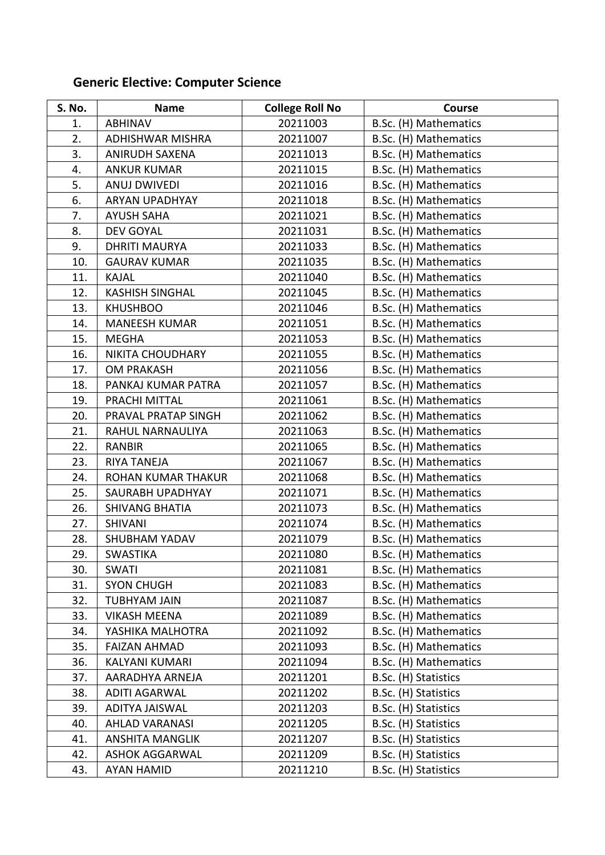# **Generic Elective: Computer Science**

| S. No. | <b>Name</b>             | <b>College Roll No</b> | Course                |
|--------|-------------------------|------------------------|-----------------------|
| 1.     | <b>ABHINAV</b>          | 20211003               | B.Sc. (H) Mathematics |
| 2.     | <b>ADHISHWAR MISHRA</b> | 20211007               | B.Sc. (H) Mathematics |
| 3.     | <b>ANIRUDH SAXENA</b>   | 20211013               | B.Sc. (H) Mathematics |
| 4.     | <b>ANKUR KUMAR</b>      | 20211015               | B.Sc. (H) Mathematics |
| 5.     | <b>ANUJ DWIVEDI</b>     | 20211016               | B.Sc. (H) Mathematics |
| 6.     | <b>ARYAN UPADHYAY</b>   | 20211018               | B.Sc. (H) Mathematics |
| 7.     | <b>AYUSH SAHA</b>       | 20211021               | B.Sc. (H) Mathematics |
| 8.     | <b>DEV GOYAL</b>        | 20211031               | B.Sc. (H) Mathematics |
| 9.     | <b>DHRITI MAURYA</b>    | 20211033               | B.Sc. (H) Mathematics |
| 10.    | <b>GAURAV KUMAR</b>     | 20211035               | B.Sc. (H) Mathematics |
| 11.    | <b>KAJAL</b>            | 20211040               | B.Sc. (H) Mathematics |
| 12.    | <b>KASHISH SINGHAL</b>  | 20211045               | B.Sc. (H) Mathematics |
| 13.    | <b>KHUSHBOO</b>         | 20211046               | B.Sc. (H) Mathematics |
| 14.    | <b>MANEESH KUMAR</b>    | 20211051               | B.Sc. (H) Mathematics |
| 15.    | <b>MEGHA</b>            | 20211053               | B.Sc. (H) Mathematics |
| 16.    | NIKITA CHOUDHARY        | 20211055               | B.Sc. (H) Mathematics |
| 17.    | <b>OM PRAKASH</b>       | 20211056               | B.Sc. (H) Mathematics |
| 18.    | PANKAJ KUMAR PATRA      | 20211057               | B.Sc. (H) Mathematics |
| 19.    | PRACHI MITTAL           | 20211061               | B.Sc. (H) Mathematics |
| 20.    | PRAVAL PRATAP SINGH     | 20211062               | B.Sc. (H) Mathematics |
| 21.    | RAHUL NARNAULIYA        | 20211063               | B.Sc. (H) Mathematics |
| 22.    | <b>RANBIR</b>           | 20211065               | B.Sc. (H) Mathematics |
| 23.    | <b>RIYA TANEJA</b>      | 20211067               | B.Sc. (H) Mathematics |
| 24.    | ROHAN KUMAR THAKUR      | 20211068               | B.Sc. (H) Mathematics |
| 25.    | SAURABH UPADHYAY        | 20211071               | B.Sc. (H) Mathematics |
| 26.    | <b>SHIVANG BHATIA</b>   | 20211073               | B.Sc. (H) Mathematics |
| 27.    | <b>SHIVANI</b>          | 20211074               | B.Sc. (H) Mathematics |
| 28.    | <b>SHUBHAM YADAV</b>    | 20211079               | B.Sc. (H) Mathematics |
| 29.    | <b>SWASTIKA</b>         | 20211080               | B.Sc. (H) Mathematics |
| 30.    | <b>SWATI</b>            | 20211081               | B.Sc. (H) Mathematics |
| 31.    | <b>SYON CHUGH</b>       | 20211083               | B.Sc. (H) Mathematics |
| 32.    | <b>TUBHYAM JAIN</b>     | 20211087               | B.Sc. (H) Mathematics |
| 33.    | <b>VIKASH MEENA</b>     | 20211089               | B.Sc. (H) Mathematics |
| 34.    | YASHIKA MALHOTRA        | 20211092               | B.Sc. (H) Mathematics |
| 35.    | <b>FAIZAN AHMAD</b>     | 20211093               | B.Sc. (H) Mathematics |
| 36.    | KALYANI KUMARI          | 20211094               | B.Sc. (H) Mathematics |
| 37.    | AARADHYA ARNEJA         | 20211201               | B.Sc. (H) Statistics  |
| 38.    | <b>ADITI AGARWAL</b>    | 20211202               | B.Sc. (H) Statistics  |
| 39.    | ADITYA JAISWAL          | 20211203               | B.Sc. (H) Statistics  |
| 40.    | <b>AHLAD VARANASI</b>   | 20211205               | B.Sc. (H) Statistics  |
| 41.    | <b>ANSHITA MANGLIK</b>  | 20211207               | B.Sc. (H) Statistics  |
| 42.    | <b>ASHOK AGGARWAL</b>   | 20211209               | B.Sc. (H) Statistics  |
| 43.    | AYAN HAMID              | 20211210               | B.Sc. (H) Statistics  |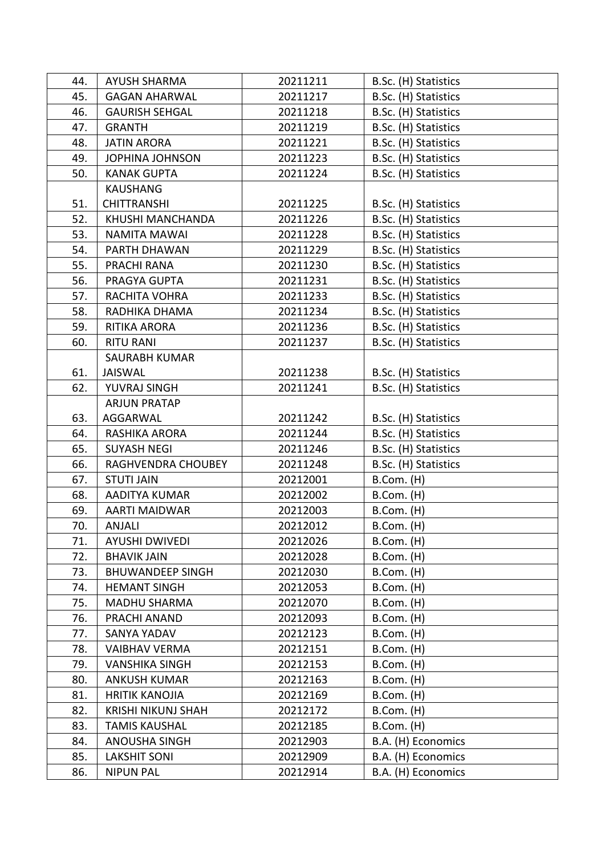| 44. | <b>AYUSH SHARMA</b>       | 20211211 | B.Sc. (H) Statistics |
|-----|---------------------------|----------|----------------------|
| 45. | <b>GAGAN AHARWAL</b>      | 20211217 | B.Sc. (H) Statistics |
| 46. | <b>GAURISH SEHGAL</b>     | 20211218 | B.Sc. (H) Statistics |
| 47. | <b>GRANTH</b>             | 20211219 | B.Sc. (H) Statistics |
| 48. | <b>JATIN ARORA</b>        | 20211221 | B.Sc. (H) Statistics |
| 49. | <b>JOPHINA JOHNSON</b>    | 20211223 | B.Sc. (H) Statistics |
| 50. | <b>KANAK GUPTA</b>        | 20211224 | B.Sc. (H) Statistics |
|     | <b>KAUSHANG</b>           |          |                      |
| 51. | <b>CHITTRANSHI</b>        | 20211225 | B.Sc. (H) Statistics |
| 52. | KHUSHI MANCHANDA          | 20211226 | B.Sc. (H) Statistics |
| 53. | <b>NAMITA MAWAI</b>       | 20211228 | B.Sc. (H) Statistics |
| 54. | PARTH DHAWAN              | 20211229 | B.Sc. (H) Statistics |
| 55. | PRACHI RANA               | 20211230 | B.Sc. (H) Statistics |
| 56. | PRAGYA GUPTA              | 20211231 | B.Sc. (H) Statistics |
| 57. | RACHITA VOHRA             | 20211233 | B.Sc. (H) Statistics |
| 58. | RADHIKA DHAMA             | 20211234 | B.Sc. (H) Statistics |
| 59. | RITIKA ARORA              | 20211236 | B.Sc. (H) Statistics |
| 60. | <b>RITU RANI</b>          | 20211237 | B.Sc. (H) Statistics |
|     | <b>SAURABH KUMAR</b>      |          |                      |
| 61. | <b>JAISWAL</b>            | 20211238 | B.Sc. (H) Statistics |
| 62. | YUVRAJ SINGH              | 20211241 | B.Sc. (H) Statistics |
|     | <b>ARJUN PRATAP</b>       |          |                      |
| 63. | AGGARWAL                  | 20211242 | B.Sc. (H) Statistics |
| 64. | RASHIKA ARORA             | 20211244 | B.Sc. (H) Statistics |
| 65. | <b>SUYASH NEGI</b>        | 20211246 | B.Sc. (H) Statistics |
| 66. | RAGHVENDRA CHOUBEY        | 20211248 | B.Sc. (H) Statistics |
| 67. | <b>STUTI JAIN</b>         | 20212001 | B.Com. (H)           |
| 68. | <b>AADITYA KUMAR</b>      | 20212002 | B.Com. (H)           |
| 69. | <b>AARTI MAIDWAR</b>      | 20212003 | B.Com. (H)           |
| 70. | ANJALI                    | 20212012 | B.Com. (H)           |
| 71. | <b>AYUSHI DWIVEDI</b>     | 20212026 | $B.Com.$ (H)         |
| 72. | <b>BHAVIK JAIN</b>        | 20212028 | $B.Com.$ (H)         |
| 73. | <b>BHUWANDEEP SINGH</b>   | 20212030 | $B.Com.$ (H)         |
| 74. | <b>HEMANT SINGH</b>       | 20212053 | $B.Com.$ (H)         |
| 75. | <b>MADHU SHARMA</b>       | 20212070 | $B.$ Com. $(H)$      |
| 76. | PRACHI ANAND              | 20212093 | $B.Com.$ (H)         |
| 77. | SANYA YADAV               | 20212123 | $B.Com.$ (H)         |
| 78. | <b>VAIBHAV VERMA</b>      | 20212151 | $B.Com.$ (H)         |
| 79. | <b>VANSHIKA SINGH</b>     | 20212153 | $B.Com.$ (H)         |
| 80. | <b>ANKUSH KUMAR</b>       | 20212163 | $B.Com.$ (H)         |
| 81. | <b>HRITIK KANOJIA</b>     | 20212169 | $B.Com.$ (H)         |
| 82. | <b>KRISHI NIKUNJ SHAH</b> | 20212172 | B.Com. (H)           |
| 83. | <b>TAMIS KAUSHAL</b>      | 20212185 | B.Com. (H)           |
| 84. | ANOUSHA SINGH             | 20212903 | B.A. (H) Economics   |
| 85. | <b>LAKSHIT SONI</b>       | 20212909 | B.A. (H) Economics   |
| 86. | <b>NIPUN PAL</b>          | 20212914 | B.A. (H) Economics   |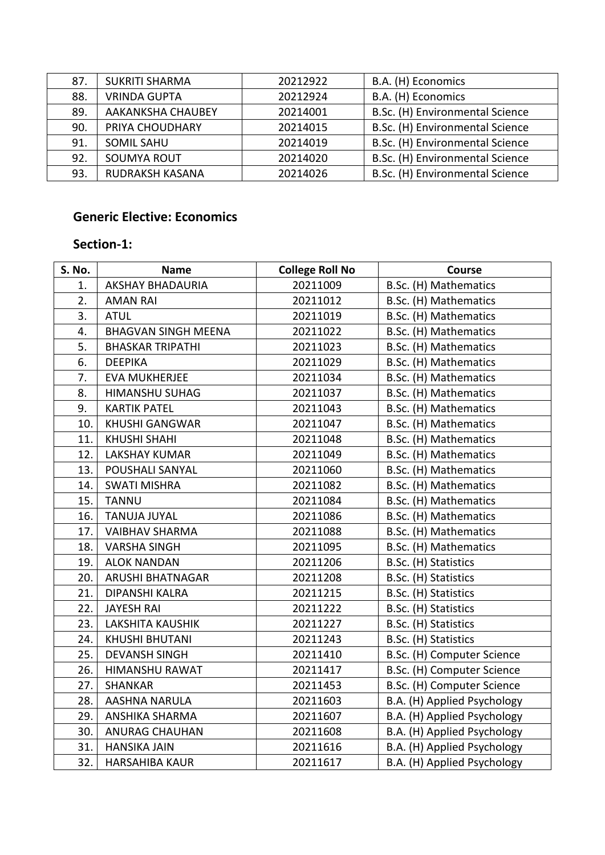| 87. | <b>SUKRITI SHARMA</b>    | 20212922 | B.A. (H) Economics              |
|-----|--------------------------|----------|---------------------------------|
| 88. | <b>VRINDA GUPTA</b>      | 20212924 | B.A. (H) Economics              |
| 89. | <b>AAKANKSHA CHAUBEY</b> | 20214001 | B.Sc. (H) Environmental Science |
| 90. | PRIYA CHOUDHARY          | 20214015 | B.Sc. (H) Environmental Science |
| 91. | <b>SOMIL SAHU</b>        | 20214019 | B.Sc. (H) Environmental Science |
| 92. | <b>SOUMYA ROUT</b>       | 20214020 | B.Sc. (H) Environmental Science |
| 93. | <b>RUDRAKSH KASANA</b>   | 20214026 | B.Sc. (H) Environmental Science |

### **Generic Elective: Economics**

### **Section-1:**

| S. No. | <b>Name</b>                | <b>College Roll No</b> | <b>Course</b>               |
|--------|----------------------------|------------------------|-----------------------------|
| 1.     | <b>AKSHAY BHADAURIA</b>    | 20211009               | B.Sc. (H) Mathematics       |
| 2.     | <b>AMAN RAI</b>            | 20211012               | B.Sc. (H) Mathematics       |
| 3.     | <b>ATUL</b>                | 20211019               | B.Sc. (H) Mathematics       |
| 4.     | <b>BHAGVAN SINGH MEENA</b> | 20211022               | B.Sc. (H) Mathematics       |
| 5.     | <b>BHASKAR TRIPATHI</b>    | 20211023               | B.Sc. (H) Mathematics       |
| 6.     | <b>DEEPIKA</b>             | 20211029               | B.Sc. (H) Mathematics       |
| 7.     | <b>EVA MUKHERJEE</b>       | 20211034               | B.Sc. (H) Mathematics       |
| 8.     | HIMANSHU SUHAG             | 20211037               | B.Sc. (H) Mathematics       |
| 9.     | <b>KARTIK PATEL</b>        | 20211043               | B.Sc. (H) Mathematics       |
| 10.    | <b>KHUSHI GANGWAR</b>      | 20211047               | B.Sc. (H) Mathematics       |
| 11.    | <b>KHUSHI SHAHI</b>        | 20211048               | B.Sc. (H) Mathematics       |
| 12.    | <b>LAKSHAY KUMAR</b>       | 20211049               | B.Sc. (H) Mathematics       |
| 13.    | POUSHALI SANYAL            | 20211060               | B.Sc. (H) Mathematics       |
| 14.    | <b>SWATI MISHRA</b>        | 20211082               | B.Sc. (H) Mathematics       |
| 15.    | <b>TANNU</b>               | 20211084               | B.Sc. (H) Mathematics       |
| 16.    | <b>TANUJA JUYAL</b>        | 20211086               | B.Sc. (H) Mathematics       |
| 17.    | <b>VAIBHAV SHARMA</b>      | 20211088               | B.Sc. (H) Mathematics       |
| 18.    | <b>VARSHA SINGH</b>        | 20211095               | B.Sc. (H) Mathematics       |
| 19.    | <b>ALOK NANDAN</b>         | 20211206               | B.Sc. (H) Statistics        |
| 20.    | <b>ARUSHI BHATNAGAR</b>    | 20211208               | B.Sc. (H) Statistics        |
| 21.    | DIPANSHI KALRA             | 20211215               | B.Sc. (H) Statistics        |
| 22.    | <b>JAYESH RAI</b>          | 20211222               | B.Sc. (H) Statistics        |
| 23.    | <b>LAKSHITA KAUSHIK</b>    | 20211227               | B.Sc. (H) Statistics        |
| 24.    | <b>KHUSHI BHUTANI</b>      | 20211243               | B.Sc. (H) Statistics        |
| 25.    | <b>DEVANSH SINGH</b>       | 20211410               | B.Sc. (H) Computer Science  |
| 26.    | HIMANSHU RAWAT             | 20211417               | B.Sc. (H) Computer Science  |
| 27.    | <b>SHANKAR</b>             | 20211453               | B.Sc. (H) Computer Science  |
| 28.    | AASHNA NARULA              | 20211603               | B.A. (H) Applied Psychology |
| 29.    | <b>ANSHIKA SHARMA</b>      | 20211607               | B.A. (H) Applied Psychology |
| 30.    | <b>ANURAG CHAUHAN</b>      | 20211608               | B.A. (H) Applied Psychology |
| 31.    | <b>HANSIKA JAIN</b>        | 20211616               | B.A. (H) Applied Psychology |
| 32.    | HARSAHIBA KAUR             | 20211617               | B.A. (H) Applied Psychology |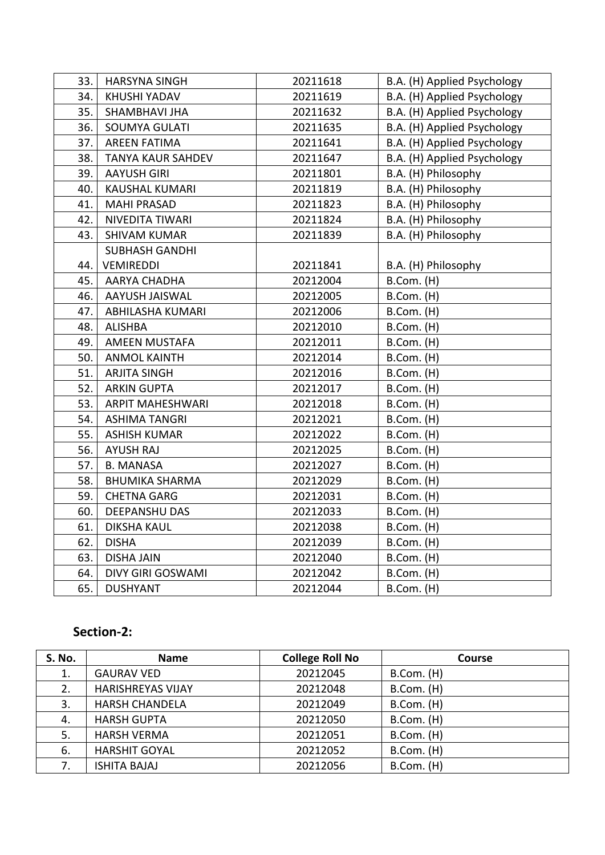| 33. | <b>HARSYNA SINGH</b>     | 20211618 | B.A. (H) Applied Psychology |
|-----|--------------------------|----------|-----------------------------|
| 34. | <b>KHUSHI YADAV</b>      | 20211619 | B.A. (H) Applied Psychology |
| 35. | SHAMBHAVI JHA            | 20211632 | B.A. (H) Applied Psychology |
| 36. | SOUMYA GULATI            | 20211635 | B.A. (H) Applied Psychology |
| 37. | <b>AREEN FATIMA</b>      | 20211641 | B.A. (H) Applied Psychology |
| 38. | <b>TANYA KAUR SAHDEV</b> | 20211647 | B.A. (H) Applied Psychology |
| 39. | <b>AAYUSH GIRI</b>       | 20211801 | B.A. (H) Philosophy         |
| 40. | <b>KAUSHAL KUMARI</b>    | 20211819 | B.A. (H) Philosophy         |
| 41. | <b>MAHI PRASAD</b>       | 20211823 | B.A. (H) Philosophy         |
| 42. | <b>NIVEDITA TIWARI</b>   | 20211824 | B.A. (H) Philosophy         |
| 43. | <b>SHIVAM KUMAR</b>      | 20211839 | B.A. (H) Philosophy         |
|     | <b>SUBHASH GANDHI</b>    |          |                             |
| 44. | <b>VEMIREDDI</b>         | 20211841 | B.A. (H) Philosophy         |
| 45. | <b>AARYA CHADHA</b>      | 20212004 | B.Com. (H)                  |
| 46. | AAYUSH JAISWAL           | 20212005 | B.Com. (H)                  |
| 47. | <b>ABHILASHA KUMARI</b>  | 20212006 | B.Com. (H)                  |
| 48. | <b>ALISHBA</b>           | 20212010 | $B.Com.$ (H)                |
| 49. | <b>AMEEN MUSTAFA</b>     | 20212011 | B.Com. (H)                  |
| 50. | <b>ANMOL KAINTH</b>      | 20212014 | $B.$ Com. $(H)$             |
| 51. | <b>ARJITA SINGH</b>      | 20212016 | B.Com. (H)                  |
| 52. | <b>ARKIN GUPTA</b>       | 20212017 | B.Com. (H)                  |
| 53. | <b>ARPIT MAHESHWARI</b>  | 20212018 | $B.Com.$ (H)                |
| 54. | <b>ASHIMA TANGRI</b>     | 20212021 | $B.$ Com. $(H)$             |
| 55. | <b>ASHISH KUMAR</b>      | 20212022 | B.Com. (H)                  |
| 56. | <b>AYUSH RAJ</b>         | 20212025 | $B.$ Com. $(H)$             |
| 57. | <b>B. MANASA</b>         | 20212027 | B.Com. (H)                  |
| 58. | <b>BHUMIKA SHARMA</b>    | 20212029 | $B.$ Com. $(H)$             |
| 59. | <b>CHETNA GARG</b>       | 20212031 | B.Com. (H)                  |
| 60. | <b>DEEPANSHU DAS</b>     | 20212033 | B.Com. (H)                  |
| 61. | <b>DIKSHA KAUL</b>       | 20212038 | $B.$ Com. $(H)$             |
| 62. | <b>DISHA</b>             | 20212039 | B.Com. (H)                  |
| 63. | <b>DISHA JAIN</b>        | 20212040 | B.Com. (H)                  |
| 64. | DIVY GIRI GOSWAMI        | 20212042 | B.Com. (H)                  |
| 65. | <b>DUSHYANT</b>          | 20212044 | B.Com. (H)                  |

### **Section-2:**

| <b>S. No.</b> | <b>Name</b>              | <b>College Roll No</b> | Course       |
|---------------|--------------------------|------------------------|--------------|
| 1.            | <b>GAURAV VED</b>        | 20212045               | $B.Com.$ (H) |
| 2.            | <b>HARISHREYAS VIJAY</b> | 20212048               | B.Com. (H)   |
| 3.            | <b>HARSH CHANDELA</b>    | 20212049               | B.Com. (H)   |
| 4.            | <b>HARSH GUPTA</b>       | 20212050               | B.Com. (H)   |
| 5.            | <b>HARSH VERMA</b>       | 20212051               | B.Com. (H)   |
| 6.            | <b>HARSHIT GOYAL</b>     | 20212052               | B.Com. (H)   |
| 7.            | <b>ISHITA BAJAJ</b>      | 20212056               | B.Com. (H)   |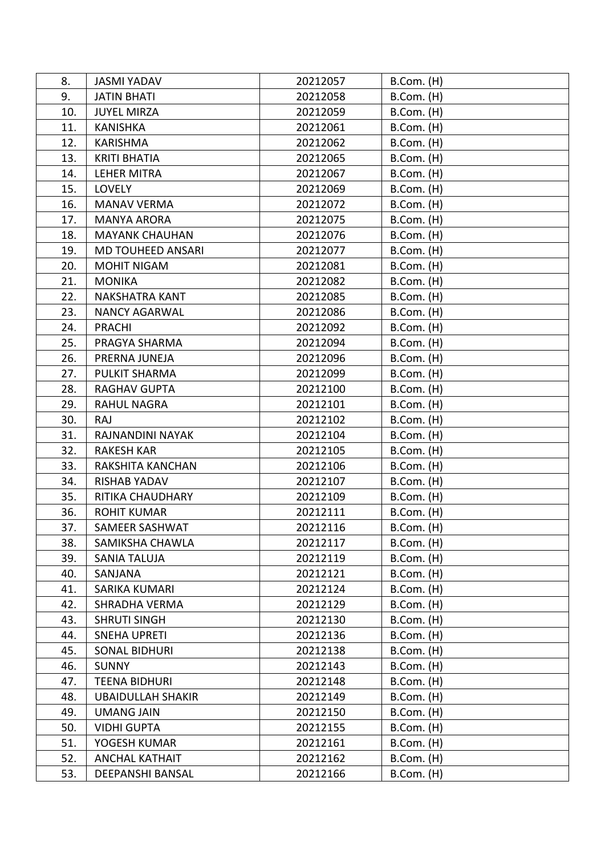| 8.  | <b>JASMI YADAV</b>       | 20212057 | B.Com. (H)      |
|-----|--------------------------|----------|-----------------|
| 9.  | <b>JATIN BHATI</b>       | 20212058 | B.Com. (H)      |
| 10. | <b>JUYEL MIRZA</b>       | 20212059 | B.Com. (H)      |
| 11. | <b>KANISHKA</b>          | 20212061 | B.Com. (H)      |
| 12. | <b>KARISHMA</b>          | 20212062 | $B.$ Com. $(H)$ |
| 13. | <b>KRITI BHATIA</b>      | 20212065 | $B.Com.$ (H)    |
| 14. | <b>LEHER MITRA</b>       | 20212067 | B.Com. (H)      |
| 15. | <b>LOVELY</b>            | 20212069 | $B.Com.$ (H)    |
| 16. | <b>MANAV VERMA</b>       | 20212072 | $B.Com.$ (H)    |
| 17. | <b>MANYA ARORA</b>       | 20212075 | $B.$ Com. $(H)$ |
| 18. | <b>MAYANK CHAUHAN</b>    | 20212076 | $B.$ Com. $(H)$ |
| 19. | <b>MD TOUHEED ANSARI</b> | 20212077 | $B.$ Com. $(H)$ |
| 20. | <b>MOHIT NIGAM</b>       | 20212081 | B.Com. (H)      |
| 21. | <b>MONIKA</b>            | 20212082 | B.Com. (H)      |
| 22. | <b>NAKSHATRA KANT</b>    | 20212085 | B.Com. (H)      |
| 23. | <b>NANCY AGARWAL</b>     | 20212086 | B.Com. (H)      |
| 24. | <b>PRACHI</b>            | 20212092 | B.Com. (H)      |
| 25. | PRAGYA SHARMA            | 20212094 | B.Com. (H)      |
| 26. | PRERNA JUNEJA            | 20212096 | B.Com. (H)      |
| 27. | PULKIT SHARMA            | 20212099 | $B.Com.$ (H)    |
| 28. | <b>RAGHAV GUPTA</b>      | 20212100 | B.Com. (H)      |
| 29. | <b>RAHUL NAGRA</b>       | 20212101 | B.Com. (H)      |
| 30. | RAJ                      | 20212102 | $B.$ Com. $(H)$ |
| 31. | RAJNANDINI NAYAK         | 20212104 | $B.Com.$ (H)    |
| 32. | <b>RAKESH KAR</b>        | 20212105 | $B.Com.$ (H)    |
| 33. | RAKSHITA KANCHAN         | 20212106 | B.Com. (H)      |
| 34. | <b>RISHAB YADAV</b>      | 20212107 | $B.Com.$ (H)    |
| 35. | RITIKA CHAUDHARY         | 20212109 | B.Com. (H)      |
| 36. | <b>ROHIT KUMAR</b>       | 20212111 | B.Com. (H)      |
| 37. | SAMEER SASHWAT           | 20212116 | B.Com. (H)      |
| 38. | SAMIKSHA CHAWLA          | 20212117 | B.Com. (H)      |
| 39. | <b>SANIA TALUJA</b>      | 20212119 | B.Com. (H)      |
| 40. | SANJANA                  | 20212121 | B.Com. (H)      |
| 41. | SARIKA KUMARI            | 20212124 | B.Com. (H)      |
| 42. | SHRADHA VERMA            | 20212129 | B.Com. (H)      |
| 43. | <b>SHRUTI SINGH</b>      | 20212130 | $B.$ Com. $(H)$ |
| 44. | <b>SNEHA UPRETI</b>      | 20212136 | B.Com. (H)      |
| 45. | <b>SONAL BIDHURI</b>     | 20212138 | B.Com. (H)      |
| 46. | <b>SUNNY</b>             | 20212143 | B.Com. (H)      |
| 47. | <b>TEENA BIDHURI</b>     | 20212148 | $B.Com.$ (H)    |
| 48. | <b>UBAIDULLAH SHAKIR</b> | 20212149 | $B.Com.$ (H)    |
| 49. | <b>UMANG JAIN</b>        | 20212150 | B.Com. (H)      |
| 50. | <b>VIDHI GUPTA</b>       | 20212155 | $B.Com.$ (H)    |
| 51. | YOGESH KUMAR             | 20212161 | $B.Com.$ (H)    |
| 52. | <b>ANCHAL KATHAIT</b>    | 20212162 | B.Com. (H)      |
| 53. | DEEPANSHI BANSAL         | 20212166 | $B.Com.$ (H)    |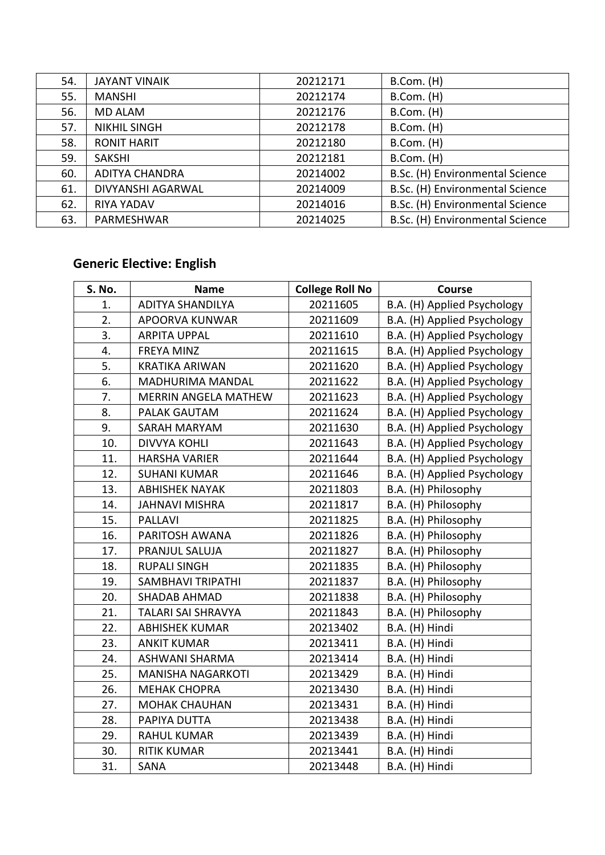| 54. | JAYANT VINAIK         | 20212171 | B.Com. (H)                      |
|-----|-----------------------|----------|---------------------------------|
| 55. | <b>MANSHI</b>         | 20212174 | B.Com. (H)                      |
| 56. | <b>MD ALAM</b>        | 20212176 | B.Com. (H)                      |
| 57. | <b>NIKHIL SINGH</b>   | 20212178 | B.Com. (H)                      |
| 58. | <b>RONIT HARIT</b>    | 20212180 | $B.Com.$ (H)                    |
| 59. | <b>SAKSHI</b>         | 20212181 | B.Com. (H)                      |
| 60. | <b>ADITYA CHANDRA</b> | 20214002 | B.Sc. (H) Environmental Science |
| 61. | DIVYANSHI AGARWAL     | 20214009 | B.Sc. (H) Environmental Science |
| 62. | <b>RIYA YADAV</b>     | 20214016 | B.Sc. (H) Environmental Science |
| 63. | PARMESHWAR            | 20214025 | B.Sc. (H) Environmental Science |

# **Generic Elective: English**

| S. No. | <b>Name</b>                 | <b>College Roll No</b> | Course                      |
|--------|-----------------------------|------------------------|-----------------------------|
| 1.     | <b>ADITYA SHANDILYA</b>     | 20211605               | B.A. (H) Applied Psychology |
| 2.     | APOORVA KUNWAR              | 20211609               | B.A. (H) Applied Psychology |
| 3.     | <b>ARPITA UPPAL</b>         | 20211610               | B.A. (H) Applied Psychology |
| 4.     | <b>FREYA MINZ</b>           | 20211615               | B.A. (H) Applied Psychology |
| 5.     | <b>KRATIKA ARIWAN</b>       | 20211620               | B.A. (H) Applied Psychology |
| 6.     | MADHURIMA MANDAL            | 20211622               | B.A. (H) Applied Psychology |
| 7.     | <b>MERRIN ANGELA MATHEW</b> | 20211623               | B.A. (H) Applied Psychology |
| 8.     | <b>PALAK GAUTAM</b>         | 20211624               | B.A. (H) Applied Psychology |
| 9.     | SARAH MARYAM                | 20211630               | B.A. (H) Applied Psychology |
| 10.    | <b>DIVVYA KOHLI</b>         | 20211643               | B.A. (H) Applied Psychology |
| 11.    | <b>HARSHA VARIER</b>        | 20211644               | B.A. (H) Applied Psychology |
| 12.    | <b>SUHANI KUMAR</b>         | 20211646               | B.A. (H) Applied Psychology |
| 13.    | <b>ABHISHEK NAYAK</b>       | 20211803               | B.A. (H) Philosophy         |
| 14.    | <b>JAHNAVI MISHRA</b>       | 20211817               | B.A. (H) Philosophy         |
| 15.    | <b>PALLAVI</b>              | 20211825               | B.A. (H) Philosophy         |
| 16.    | PARITOSH AWANA              | 20211826               | B.A. (H) Philosophy         |
| 17.    | PRANJUL SALUJA              | 20211827               | B.A. (H) Philosophy         |
| 18.    | <b>RUPALI SINGH</b>         | 20211835               | B.A. (H) Philosophy         |
| 19.    | <b>SAMBHAVI TRIPATHI</b>    | 20211837               | B.A. (H) Philosophy         |
| 20.    | <b>SHADAB AHMAD</b>         | 20211838               | B.A. (H) Philosophy         |
| 21.    | <b>TALARI SAI SHRAVYA</b>   | 20211843               | B.A. (H) Philosophy         |
| 22.    | <b>ABHISHEK KUMAR</b>       | 20213402               | B.A. (H) Hindi              |
| 23.    | <b>ANKIT KUMAR</b>          | 20213411               | B.A. (H) Hindi              |
| 24.    | ASHWANI SHARMA              | 20213414               | B.A. (H) Hindi              |
| 25.    | <b>MANISHA NAGARKOTI</b>    | 20213429               | B.A. (H) Hindi              |
| 26.    | <b>MEHAK CHOPRA</b>         | 20213430               | B.A. (H) Hindi              |
| 27.    | <b>MOHAK CHAUHAN</b>        | 20213431               | B.A. (H) Hindi              |
| 28.    | PAPIYA DUTTA                | 20213438               | B.A. (H) Hindi              |
| 29.    | <b>RAHUL KUMAR</b>          | 20213439               | B.A. (H) Hindi              |
| 30.    | <b>RITIK KUMAR</b>          | 20213441               | B.A. (H) Hindi              |
| 31.    | SANA                        | 20213448               | B.A. (H) Hindi              |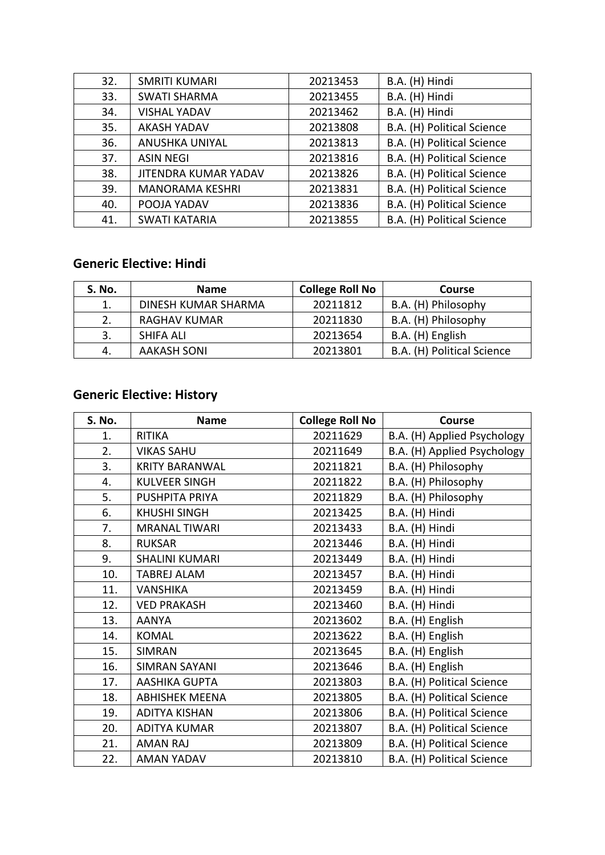| 32. | <b>SMRITI KUMARI</b>        | 20213453 | B.A. (H) Hindi             |
|-----|-----------------------------|----------|----------------------------|
| 33. | <b>SWATI SHARMA</b>         | 20213455 | B.A. (H) Hindi             |
| 34. | <b>VISHAL YADAV</b>         | 20213462 | B.A. (H) Hindi             |
| 35. | <b>AKASH YADAV</b>          | 20213808 | B.A. (H) Political Science |
| 36. | ANUSHKA UNIYAL              | 20213813 | B.A. (H) Political Science |
| 37. | <b>ASIN NEGI</b>            | 20213816 | B.A. (H) Political Science |
| 38. | <b>JITENDRA KUMAR YADAV</b> | 20213826 | B.A. (H) Political Science |
| 39. | <b>MANORAMA KESHRI</b>      | 20213831 | B.A. (H) Political Science |
| 40. | POOJA YADAV                 | 20213836 | B.A. (H) Political Science |
| 41. | <b>SWATI KATARIA</b>        | 20213855 | B.A. (H) Political Science |

### **Generic Elective: Hindi**

| <b>S. No.</b> | <b>Name</b>         | <b>College Roll No</b> | <b>Course</b>              |
|---------------|---------------------|------------------------|----------------------------|
|               | DINESH KUMAR SHARMA | 20211812               | B.A. (H) Philosophy        |
| 2.            | <b>RAGHAV KUMAR</b> | 20211830               | B.A. (H) Philosophy        |
|               | SHIFA ALI           | 20213654               | B.A. (H) English           |
|               | <b>AAKASH SONI</b>  | 20213801               | B.A. (H) Political Science |

### **Generic Elective: History**

| S. No. | <b>Name</b>           | <b>College Roll No</b> | Course                      |
|--------|-----------------------|------------------------|-----------------------------|
| 1.     | <b>RITIKA</b>         | 20211629               | B.A. (H) Applied Psychology |
| 2.     | <b>VIKAS SAHU</b>     | 20211649               | B.A. (H) Applied Psychology |
| 3.     | <b>KRITY BARANWAL</b> | 20211821               | B.A. (H) Philosophy         |
| 4.     | <b>KULVEER SINGH</b>  | 20211822               | B.A. (H) Philosophy         |
| 5.     | PUSHPITA PRIYA        | 20211829               | B.A. (H) Philosophy         |
| 6.     | <b>KHUSHI SINGH</b>   | 20213425               | B.A. (H) Hindi              |
| 7.     | <b>MRANAL TIWARI</b>  | 20213433               | B.A. (H) Hindi              |
| 8.     | <b>RUKSAR</b>         | 20213446               | B.A. (H) Hindi              |
| 9.     | <b>SHALINI KUMARI</b> | 20213449               | B.A. (H) Hindi              |
| 10.    | <b>TABREJ ALAM</b>    | 20213457               | B.A. (H) Hindi              |
| 11.    | <b>VANSHIKA</b>       | 20213459               | B.A. (H) Hindi              |
| 12.    | <b>VED PRAKASH</b>    | 20213460               | B.A. (H) Hindi              |
| 13.    | <b>AANYA</b>          | 20213602               | B.A. (H) English            |
| 14.    | <b>KOMAL</b>          | 20213622               | B.A. (H) English            |
| 15.    | <b>SIMRAN</b>         | 20213645               | B.A. (H) English            |
| 16.    | <b>SIMRAN SAYANI</b>  | 20213646               | B.A. (H) English            |
| 17.    | <b>AASHIKA GUPTA</b>  | 20213803               | B.A. (H) Political Science  |
| 18.    | <b>ABHISHEK MEENA</b> | 20213805               | B.A. (H) Political Science  |
| 19.    | <b>ADITYA KISHAN</b>  | 20213806               | B.A. (H) Political Science  |
| 20.    | <b>ADITYA KUMAR</b>   | 20213807               | B.A. (H) Political Science  |
| 21.    | <b>AMAN RAJ</b>       | 20213809               | B.A. (H) Political Science  |
| 22.    | <b>AMAN YADAV</b>     | 20213810               | B.A. (H) Political Science  |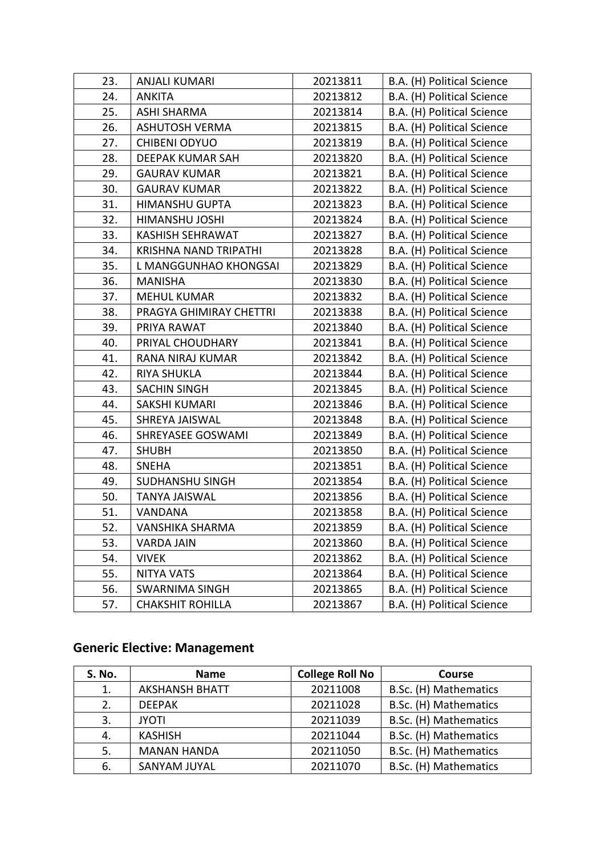| 23. | <b>ANJALI KUMARI</b>         | 20213811 | B.A. (H) Political Science |
|-----|------------------------------|----------|----------------------------|
| 24. | <b>ANKITA</b>                | 20213812 | B.A. (H) Political Science |
| 25. | <b>ASHI SHARMA</b>           | 20213814 | B.A. (H) Political Science |
| 26. | <b>ASHUTOSH VERMA</b>        | 20213815 | B.A. (H) Political Science |
| 27. | <b>CHIBENI ODYUO</b>         | 20213819 | B.A. (H) Political Science |
| 28. | DEEPAK KUMAR SAH             | 20213820 | B.A. (H) Political Science |
| 29. | <b>GAURAV KUMAR</b>          | 20213821 | B.A. (H) Political Science |
| 30. | <b>GAURAV KUMAR</b>          | 20213822 | B.A. (H) Political Science |
| 31. | <b>HIMANSHU GUPTA</b>        | 20213823 | B.A. (H) Political Science |
| 32. | HIMANSHU JOSHI               | 20213824 | B.A. (H) Political Science |
| 33. | <b>KASHISH SEHRAWAT</b>      | 20213827 | B.A. (H) Political Science |
| 34. | <b>KRISHNA NAND TRIPATHI</b> | 20213828 | B.A. (H) Political Science |
| 35. | L MANGGUNHAO KHONGSAI        | 20213829 | B.A. (H) Political Science |
| 36. | <b>MANISHA</b>               | 20213830 | B.A. (H) Political Science |
| 37. | <b>MEHUL KUMAR</b>           | 20213832 | B.A. (H) Political Science |
| 38. | PRAGYA GHIMIRAY CHETTRI      | 20213838 | B.A. (H) Political Science |
| 39. | PRIYA RAWAT                  | 20213840 | B.A. (H) Political Science |
| 40. | PRIYAL CHOUDHARY             | 20213841 | B.A. (H) Political Science |
| 41. | RANA NIRAJ KUMAR             | 20213842 | B.A. (H) Political Science |
| 42. | <b>RIYA SHUKLA</b>           | 20213844 | B.A. (H) Political Science |
| 43. | <b>SACHIN SINGH</b>          | 20213845 | B.A. (H) Political Science |
| 44. | SAKSHI KUMARI                | 20213846 | B.A. (H) Political Science |
| 45. | SHREYA JAISWAL               | 20213848 | B.A. (H) Political Science |
| 46. | SHREYASEE GOSWAMI            | 20213849 | B.A. (H) Political Science |
| 47. | <b>SHUBH</b>                 | 20213850 | B.A. (H) Political Science |
| 48. | <b>SNEHA</b>                 | 20213851 | B.A. (H) Political Science |
| 49. | <b>SUDHANSHU SINGH</b>       | 20213854 | B.A. (H) Political Science |
| 50. | <b>TANYA JAISWAL</b>         | 20213856 | B.A. (H) Political Science |
| 51. | VANDANA                      | 20213858 | B.A. (H) Political Science |
| 52. | VANSHIKA SHARMA              | 20213859 | B.A. (H) Political Science |
| 53. | <b>VARDA JAIN</b>            | 20213860 | B.A. (H) Political Science |
| 54. | <b>VIVEK</b>                 | 20213862 | B.A. (H) Political Science |
| 55. | <b>NITYA VATS</b>            | 20213864 | B.A. (H) Political Science |
| 56. | <b>SWARNIMA SINGH</b>        | 20213865 | B.A. (H) Political Science |
| 57. | <b>CHAKSHIT ROHILLA</b>      | 20213867 | B.A. (H) Political Science |
|     |                              |          |                            |

### **Generic Elective: Management**

| <b>S. No.</b> | <b>Name</b>           | <b>College Roll No</b> | Course                |
|---------------|-----------------------|------------------------|-----------------------|
| 1.            | <b>AKSHANSH BHATT</b> | 20211008               | B.Sc. (H) Mathematics |
| 2.            | <b>DEEPAK</b>         | 20211028               | B.Sc. (H) Mathematics |
| 3.            | <b>JYOTI</b>          | 20211039               | B.Sc. (H) Mathematics |
| 4.            | <b>KASHISH</b>        | 20211044               | B.Sc. (H) Mathematics |
| 5.            | <b>MANAN HANDA</b>    | 20211050               | B.Sc. (H) Mathematics |
| 6.            | SANYAM JUYAL          | 20211070               | B.Sc. (H) Mathematics |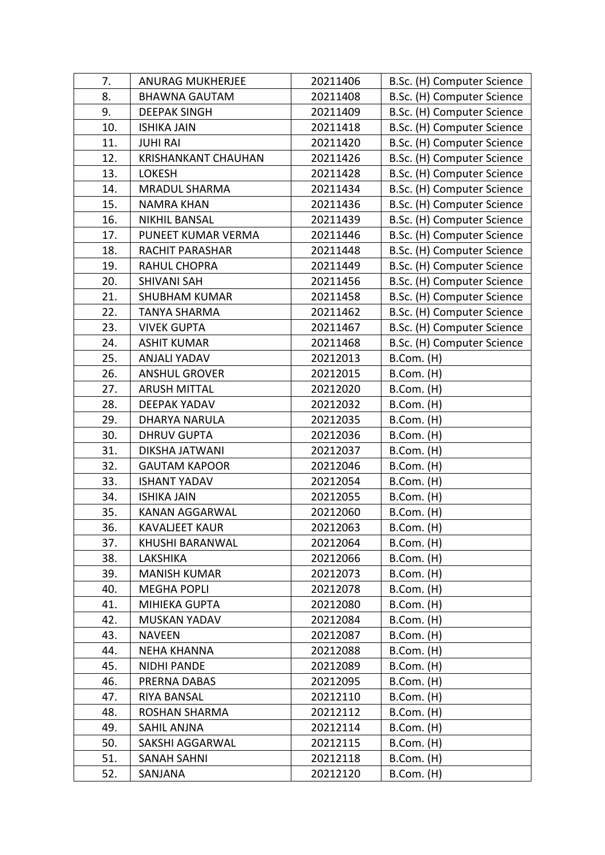| 7.  | <b>ANURAG MUKHERJEE</b>    | 20211406 | B.Sc. (H) Computer Science |
|-----|----------------------------|----------|----------------------------|
| 8.  | <b>BHAWNA GAUTAM</b>       | 20211408 | B.Sc. (H) Computer Science |
| 9.  | <b>DEEPAK SINGH</b>        | 20211409 | B.Sc. (H) Computer Science |
| 10. | <b>ISHIKA JAIN</b>         | 20211418 | B.Sc. (H) Computer Science |
| 11. | <b>JUHI RAI</b>            | 20211420 | B.Sc. (H) Computer Science |
| 12. | <b>KRISHANKANT CHAUHAN</b> | 20211426 | B.Sc. (H) Computer Science |
| 13. | <b>LOKESH</b>              | 20211428 | B.Sc. (H) Computer Science |
| 14. | <b>MRADUL SHARMA</b>       | 20211434 | B.Sc. (H) Computer Science |
| 15. | <b>NAMRA KHAN</b>          | 20211436 | B.Sc. (H) Computer Science |
| 16. | <b>NIKHIL BANSAL</b>       | 20211439 | B.Sc. (H) Computer Science |
| 17. | PUNEET KUMAR VERMA         | 20211446 | B.Sc. (H) Computer Science |
| 18. | RACHIT PARASHAR            | 20211448 | B.Sc. (H) Computer Science |
| 19. | <b>RAHUL CHOPRA</b>        | 20211449 | B.Sc. (H) Computer Science |
| 20. | <b>SHIVANI SAH</b>         | 20211456 | B.Sc. (H) Computer Science |
| 21. | <b>SHUBHAM KUMAR</b>       | 20211458 | B.Sc. (H) Computer Science |
| 22. | <b>TANYA SHARMA</b>        | 20211462 | B.Sc. (H) Computer Science |
| 23. | <b>VIVEK GUPTA</b>         | 20211467 | B.Sc. (H) Computer Science |
| 24. | <b>ASHIT KUMAR</b>         | 20211468 | B.Sc. (H) Computer Science |
| 25. | <b>ANJALI YADAV</b>        | 20212013 | B.Com. (H)                 |
| 26. | <b>ANSHUL GROVER</b>       | 20212015 | $B.Com.$ (H)               |
| 27. | <b>ARUSH MITTAL</b>        | 20212020 | B.Com. (H)                 |
| 28. | <b>DEEPAK YADAV</b>        | 20212032 | B.Com. (H)                 |
| 29. | <b>DHARYA NARULA</b>       | 20212035 | B.Com. (H)                 |
| 30. | <b>DHRUV GUPTA</b>         | 20212036 | B.Com. (H)                 |
| 31. | DIKSHA JATWANI             | 20212037 | B.Com. (H)                 |
| 32. | <b>GAUTAM KAPOOR</b>       | 20212046 | $B.$ Com. $(H)$            |
| 33. | <b>ISHANT YADAV</b>        | 20212054 | B.Com. (H)                 |
| 34. | <b>ISHIKA JAIN</b>         | 20212055 | B.Com. (H)                 |
| 35. | <b>KANAN AGGARWAL</b>      | 20212060 | B.Com. (H)                 |
| 36. | KAVALJEET KAUR             | 20212063 | B.Com. (H)                 |
| 37. | KHUSHI BARANWAL            | 20212064 | B.Com. (H)                 |
| 38. | LAKSHIKA                   | 20212066 | B.Com. (H)                 |
| 39. | <b>MANISH KUMAR</b>        | 20212073 | $B.Com.$ (H)               |
| 40. | MEGHA POPLI                | 20212078 | B.Com. (H)                 |
| 41. | MIHIEKA GUPTA              | 20212080 | $B.Com.$ (H)               |
| 42. | MUSKAN YADAV               | 20212084 | B.Com. (H)                 |
| 43. | <b>NAVEEN</b>              | 20212087 | $B.Com.$ (H)               |
| 44. | <b>NEHA KHANNA</b>         | 20212088 | $B.Com.$ (H)               |
| 45. | NIDHI PANDE                | 20212089 | B.Com. (H)                 |
| 46. | PRERNA DABAS               | 20212095 | $B.Com.$ (H)               |
| 47. | RIYA BANSAL                | 20212110 | B.Com. (H)                 |
| 48. | <b>ROSHAN SHARMA</b>       | 20212112 | $B.Com.$ (H)               |
| 49. | SAHIL ANJNA                | 20212114 | B.Com. (H)                 |
| 50. | SAKSHI AGGARWAL            | 20212115 | B.Com. (H)                 |
| 51. | <b>SANAH SAHNI</b>         | 20212118 | B.Com. (H)                 |
| 52. | SANJANA                    | 20212120 | B.Com. (H)                 |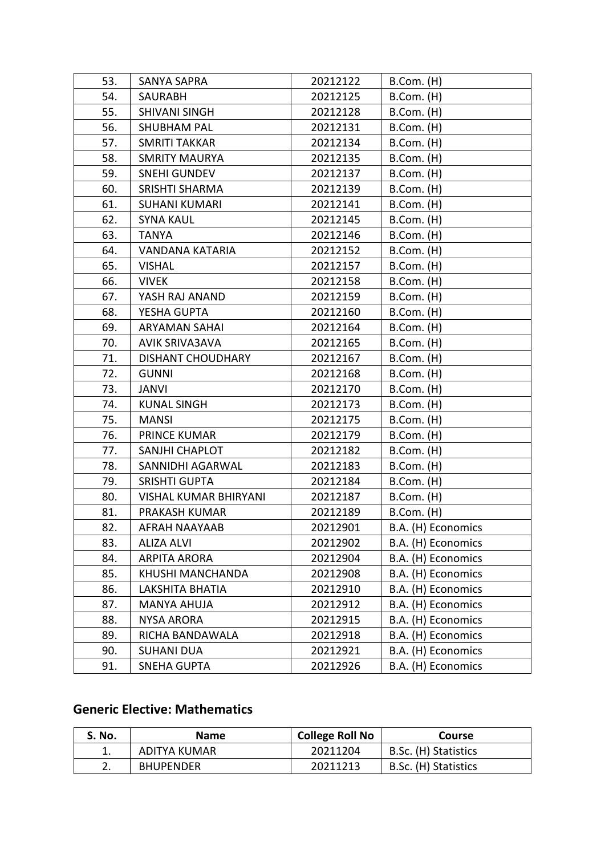| 53. | <b>SANYA SAPRA</b>           | 20212122 | $B.Com.$ (H)       |
|-----|------------------------------|----------|--------------------|
| 54. | SAURABH                      | 20212125 | B.Com. (H)         |
| 55. | <b>SHIVANI SINGH</b>         | 20212128 | $B.Com.$ (H)       |
| 56. | <b>SHUBHAM PAL</b>           | 20212131 | $B.Com.$ (H)       |
| 57. | <b>SMRITI TAKKAR</b>         | 20212134 | B.Com. (H)         |
| 58. | <b>SMRITY MAURYA</b>         | 20212135 | B.Com. (H)         |
| 59. | <b>SNEHI GUNDEV</b>          | 20212137 | B.Com. (H)         |
| 60. | <b>SRISHTI SHARMA</b>        | 20212139 | B.Com. (H)         |
| 61. | <b>SUHANI KUMARI</b>         | 20212141 | B.Com. (H)         |
| 62. | <b>SYNA KAUL</b>             | 20212145 | B.Com. (H)         |
| 63. | <b>TANYA</b>                 | 20212146 | B.Com. (H)         |
| 64. | VANDANA KATARIA              | 20212152 | B.Com. (H)         |
| 65. | <b>VISHAL</b>                | 20212157 | $B.Com.$ (H)       |
| 66. | <b>VIVEK</b>                 | 20212158 | B.Com. (H)         |
| 67. | YASH RAJ ANAND               | 20212159 | B.Com. (H)         |
| 68. | YESHA GUPTA                  | 20212160 | B.Com. (H)         |
| 69. | <b>ARYAMAN SAHAI</b>         | 20212164 | B.Com. (H)         |
| 70. | <b>AVIK SRIVA3AVA</b>        | 20212165 | B.Com. (H)         |
| 71. | <b>DISHANT CHOUDHARY</b>     | 20212167 | $B.Com.$ (H)       |
| 72. | <b>GUNNI</b>                 | 20212168 | B.Com. (H)         |
| 73. | <b>JANVI</b>                 | 20212170 | B.Com. (H)         |
| 74. | <b>KUNAL SINGH</b>           | 20212173 | $B.Com.$ (H)       |
| 75. | <b>MANSI</b>                 | 20212175 | B.Com. (H)         |
| 76. | PRINCE KUMAR                 | 20212179 | B.Com. (H)         |
| 77. | <b>SANJHI CHAPLOT</b>        | 20212182 | B.Com. (H)         |
| 78. | SANNIDHI AGARWAL             | 20212183 | $B.Com.$ (H)       |
| 79. | <b>SRISHTI GUPTA</b>         | 20212184 | $B.Com.$ (H)       |
| 80. | <b>VISHAL KUMAR BHIRYANI</b> | 20212187 | $B.Com.$ (H)       |
| 81. | PRAKASH KUMAR                | 20212189 | B.Com. (H)         |
| 82. | AFRAH NAAYAAB                | 20212901 | B.A. (H) Economics |
| 83. | <b>ALIZA ALVI</b>            | 20212902 | B.A. (H) Economics |
| 84. | <b>ARPITA ARORA</b>          | 20212904 | B.A. (H) Economics |
| 85. | KHUSHI MANCHANDA             | 20212908 | B.A. (H) Economics |
| 86. | <b>LAKSHITA BHATIA</b>       | 20212910 | B.A. (H) Economics |
| 87. | MANYA AHUJA                  | 20212912 | B.A. (H) Economics |
| 88. | <b>NYSA ARORA</b>            | 20212915 | B.A. (H) Economics |
| 89. | RICHA BANDAWALA              | 20212918 | B.A. (H) Economics |
| 90. | <b>SUHANI DUA</b>            | 20212921 | B.A. (H) Economics |
| 91. | <b>SNEHA GUPTA</b>           | 20212926 | B.A. (H) Economics |
|     |                              |          |                    |

### **Generic Elective: Mathematics**

| S. No. | <b>Name</b>      | <b>College Roll No</b> | <b>Course</b>        |
|--------|------------------|------------------------|----------------------|
| ᅩ      | ADITYA KUMAR     | 20211204               | B.Sc. (H) Statistics |
| z.     | <b>BHUPENDER</b> | 20211213               | B.Sc. (H) Statistics |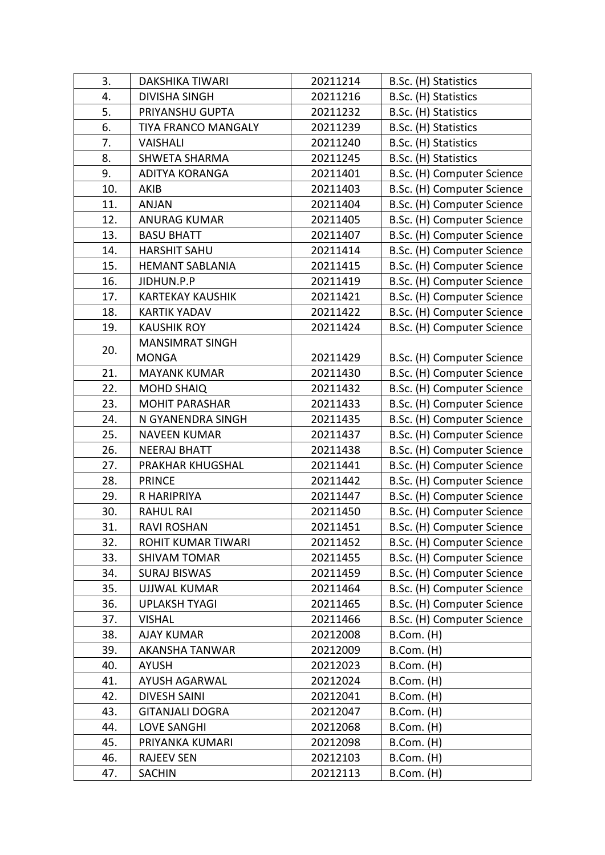| 3.  | <b>DAKSHIKA TIWARI</b>     | 20211214 | B.Sc. (H) Statistics       |
|-----|----------------------------|----------|----------------------------|
| 4.  | <b>DIVISHA SINGH</b>       | 20211216 | B.Sc. (H) Statistics       |
| 5.  | PRIYANSHU GUPTA            | 20211232 | B.Sc. (H) Statistics       |
| 6.  | <b>TIYA FRANCO MANGALY</b> | 20211239 | B.Sc. (H) Statistics       |
| 7.  | <b>VAISHALI</b>            | 20211240 | B.Sc. (H) Statistics       |
| 8.  | <b>SHWETA SHARMA</b>       | 20211245 | B.Sc. (H) Statistics       |
| 9.  | <b>ADITYA KORANGA</b>      | 20211401 | B.Sc. (H) Computer Science |
| 10. | <b>AKIB</b>                | 20211403 | B.Sc. (H) Computer Science |
| 11. | <b>ANJAN</b>               | 20211404 | B.Sc. (H) Computer Science |
| 12. | <b>ANURAG KUMAR</b>        | 20211405 | B.Sc. (H) Computer Science |
| 13. | <b>BASU BHATT</b>          | 20211407 | B.Sc. (H) Computer Science |
| 14. | <b>HARSHIT SAHU</b>        | 20211414 | B.Sc. (H) Computer Science |
| 15. | <b>HEMANT SABLANIA</b>     | 20211415 | B.Sc. (H) Computer Science |
| 16. | JIDHUN.P.P                 | 20211419 | B.Sc. (H) Computer Science |
| 17. | <b>KARTEKAY KAUSHIK</b>    | 20211421 | B.Sc. (H) Computer Science |
| 18. | <b>KARTIK YADAV</b>        | 20211422 | B.Sc. (H) Computer Science |
| 19. | <b>KAUSHIK ROY</b>         | 20211424 | B.Sc. (H) Computer Science |
|     | <b>MANSIMRAT SINGH</b>     |          |                            |
| 20. | <b>MONGA</b>               | 20211429 | B.Sc. (H) Computer Science |
| 21. | <b>MAYANK KUMAR</b>        | 20211430 | B.Sc. (H) Computer Science |
| 22. | <b>MOHD SHAIQ</b>          | 20211432 | B.Sc. (H) Computer Science |
| 23. | <b>MOHIT PARASHAR</b>      | 20211433 | B.Sc. (H) Computer Science |
| 24. | N GYANENDRA SINGH          | 20211435 | B.Sc. (H) Computer Science |
| 25. | <b>NAVEEN KUMAR</b>        | 20211437 | B.Sc. (H) Computer Science |
| 26. | <b>NEERAJ BHATT</b>        | 20211438 | B.Sc. (H) Computer Science |
| 27. | PRAKHAR KHUGSHAL           | 20211441 | B.Sc. (H) Computer Science |
| 28. | <b>PRINCE</b>              | 20211442 | B.Sc. (H) Computer Science |
| 29. | R HARIPRIYA                | 20211447 | B.Sc. (H) Computer Science |
| 30. | <b>RAHUL RAI</b>           | 20211450 | B.Sc. (H) Computer Science |
| 31. | <b>RAVI ROSHAN</b>         | 20211451 | B.Sc. (H) Computer Science |
| 32. | ROHIT KUMAR TIWARI         | 20211452 | B.Sc. (H) Computer Science |
| 33. | <b>SHIVAM TOMAR</b>        | 20211455 | B.Sc. (H) Computer Science |
| 34. | <b>SURAJ BISWAS</b>        | 20211459 | B.Sc. (H) Computer Science |
| 35. | <b>UJJWAL KUMAR</b>        | 20211464 | B.Sc. (H) Computer Science |
| 36. | <b>UPLAKSH TYAGI</b>       | 20211465 | B.Sc. (H) Computer Science |
| 37. | <b>VISHAL</b>              | 20211466 | B.Sc. (H) Computer Science |
| 38. | <b>AJAY KUMAR</b>          | 20212008 | $B.Com.$ (H)               |
| 39. | <b>AKANSHA TANWAR</b>      | 20212009 | $B.Com.$ (H)               |
| 40. | <b>AYUSH</b>               | 20212023 | $B.Com.$ (H)               |
| 41. | <b>AYUSH AGARWAL</b>       | 20212024 | $B.$ Com. $(H)$            |
|     |                            |          |                            |
| 42. | <b>DIVESH SAINI</b>        | 20212041 | $B.Com.$ (H)               |
| 43. | <b>GITANJALI DOGRA</b>     | 20212047 | B.Com. (H)                 |
| 44. | <b>LOVE SANGHI</b>         | 20212068 | B.Com. (H)                 |
| 45. | PRIYANKA KUMARI            | 20212098 | B.Com. (H)                 |
| 46. | <b>RAJEEV SEN</b>          | 20212103 | B.Com. (H)                 |
| 47. | <b>SACHIN</b>              | 20212113 | B.Com. (H)                 |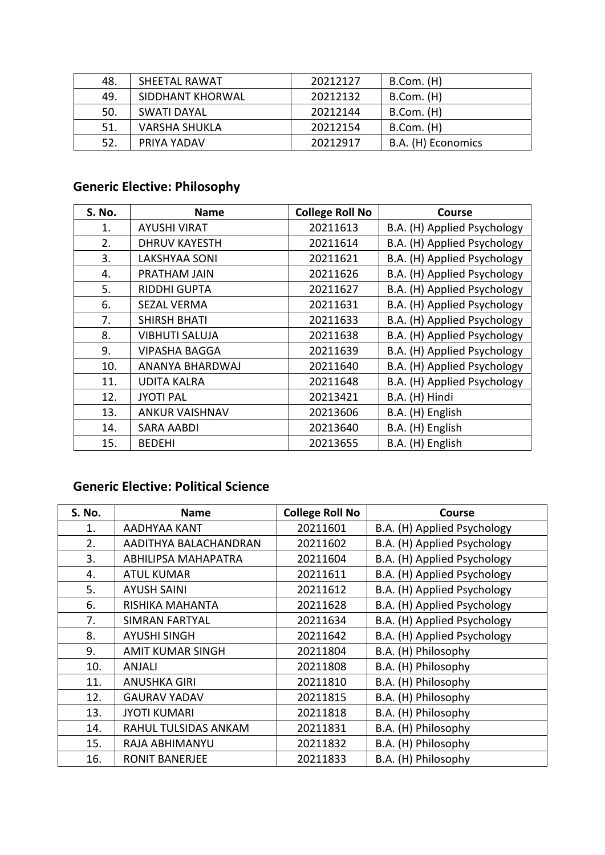| 48. | SHEETAL RAWAT        | 20212127 | $B.Com.$ (H)       |
|-----|----------------------|----------|--------------------|
| 49. | SIDDHANT KHORWAL     | 20212132 | B.Com. (H)         |
| 50. | SWATI DAYAL          | 20212144 | $B.Com.$ (H)       |
| 51. | <b>VARSHA SHUKLA</b> | 20212154 | $B.$ Com. $(H)$    |
| 52. | PRIYA YADAV          | 20212917 | B.A. (H) Economics |

# **Generic Elective: Philosophy**

| S. No. | <b>Name</b>           | <b>College Roll No</b> | <b>Course</b>               |
|--------|-----------------------|------------------------|-----------------------------|
| 1.     | <b>AYUSHI VIRAT</b>   | 20211613               | B.A. (H) Applied Psychology |
| 2.     | <b>DHRUV KAYESTH</b>  | 20211614               | B.A. (H) Applied Psychology |
| 3.     | <b>LAKSHYAA SONI</b>  | 20211621               | B.A. (H) Applied Psychology |
| 4.     | PRATHAM JAIN          | 20211626               | B.A. (H) Applied Psychology |
| 5.     | <b>RIDDHI GUPTA</b>   | 20211627               | B.A. (H) Applied Psychology |
| 6.     | <b>SEZAL VERMA</b>    | 20211631               | B.A. (H) Applied Psychology |
| 7.     | <b>SHIRSH BHATI</b>   | 20211633               | B.A. (H) Applied Psychology |
| 8.     | <b>VIBHUTI SALUJA</b> | 20211638               | B.A. (H) Applied Psychology |
| 9.     | <b>VIPASHA BAGGA</b>  | 20211639               | B.A. (H) Applied Psychology |
| 10.    | ANANYA BHARDWAJ       | 20211640               | B.A. (H) Applied Psychology |
| 11.    | <b>UDITA KALRA</b>    | 20211648               | B.A. (H) Applied Psychology |
| 12.    | <b>JYOTI PAL</b>      | 20213421               | B.A. (H) Hindi              |
| 13.    | <b>ANKUR VAISHNAV</b> | 20213606               | B.A. (H) English            |
| 14.    | <b>SARA AABDI</b>     | 20213640               | B.A. (H) English            |
| 15.    | <b>BEDEHI</b>         | 20213655               | B.A. (H) English            |

### **Generic Elective: Political Science**

| S. No. | <b>Name</b>             | <b>College Roll No</b> | <b>Course</b>               |
|--------|-------------------------|------------------------|-----------------------------|
| 1.     | AADHYAA KANT            | 20211601               | B.A. (H) Applied Psychology |
| 2.     | AADITHYA BALACHANDRAN   | 20211602               | B.A. (H) Applied Psychology |
| 3.     | ABHILIPSA MAHAPATRA     | 20211604               | B.A. (H) Applied Psychology |
| 4.     | <b>ATUL KUMAR</b>       | 20211611               | B.A. (H) Applied Psychology |
| 5.     | <b>AYUSH SAINI</b>      | 20211612               | B.A. (H) Applied Psychology |
| 6.     | RISHIKA MAHANTA         | 20211628               | B.A. (H) Applied Psychology |
| 7.     | <b>SIMRAN FARTYAL</b>   | 20211634               | B.A. (H) Applied Psychology |
| 8.     | <b>AYUSHI SINGH</b>     | 20211642               | B.A. (H) Applied Psychology |
| 9.     | <b>AMIT KUMAR SINGH</b> | 20211804               | B.A. (H) Philosophy         |
| 10.    | ANJALI                  | 20211808               | B.A. (H) Philosophy         |
| 11.    | <b>ANUSHKA GIRI</b>     | 20211810               | B.A. (H) Philosophy         |
| 12.    | <b>GAURAV YADAV</b>     | 20211815               | B.A. (H) Philosophy         |
| 13.    | <b>JYOTI KUMARI</b>     | 20211818               | B.A. (H) Philosophy         |
| 14.    | RAHUL TULSIDAS ANKAM    | 20211831               | B.A. (H) Philosophy         |
| 15.    | RAJA ABHIMANYU          | 20211832               | B.A. (H) Philosophy         |
| 16.    | <b>RONIT BANERJEE</b>   | 20211833               | B.A. (H) Philosophy         |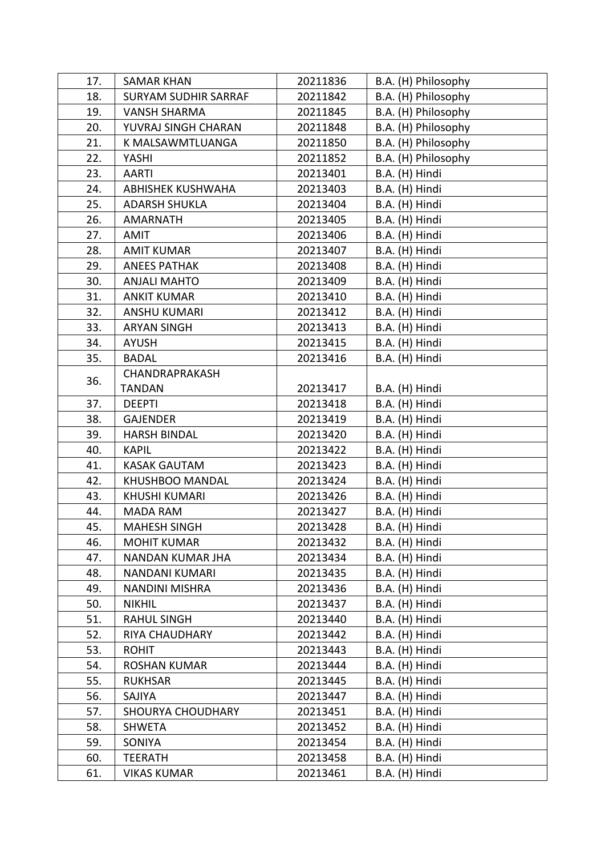| 17. | <b>SAMAR KHAN</b>           | 20211836 | B.A. (H) Philosophy |
|-----|-----------------------------|----------|---------------------|
| 18. | <b>SURYAM SUDHIR SARRAF</b> | 20211842 | B.A. (H) Philosophy |
| 19. | <b>VANSH SHARMA</b>         | 20211845 | B.A. (H) Philosophy |
| 20. | YUVRAJ SINGH CHARAN         | 20211848 | B.A. (H) Philosophy |
| 21. | K MALSAWMTLUANGA            | 20211850 | B.A. (H) Philosophy |
| 22. | YASHI                       | 20211852 | B.A. (H) Philosophy |
| 23. | <b>AARTI</b>                | 20213401 | B.A. (H) Hindi      |
| 24. | <b>ABHISHEK KUSHWAHA</b>    | 20213403 | B.A. (H) Hindi      |
| 25. | <b>ADARSH SHUKLA</b>        | 20213404 | B.A. (H) Hindi      |
| 26. | <b>AMARNATH</b>             | 20213405 | B.A. (H) Hindi      |
| 27. | AMIT                        | 20213406 | B.A. (H) Hindi      |
| 28. | <b>AMIT KUMAR</b>           | 20213407 | B.A. (H) Hindi      |
| 29. | <b>ANEES PATHAK</b>         | 20213408 | B.A. (H) Hindi      |
| 30. | <b>ANJALI MAHTO</b>         | 20213409 | B.A. (H) Hindi      |
| 31. | <b>ANKIT KUMAR</b>          | 20213410 | B.A. (H) Hindi      |
| 32. | <b>ANSHU KUMARI</b>         | 20213412 | B.A. (H) Hindi      |
| 33. | <b>ARYAN SINGH</b>          | 20213413 | B.A. (H) Hindi      |
| 34. | <b>AYUSH</b>                | 20213415 | B.A. (H) Hindi      |
| 35. | <b>BADAL</b>                | 20213416 | B.A. (H) Hindi      |
|     | CHANDRAPRAKASH              |          |                     |
| 36. | <b>TANDAN</b>               | 20213417 | B.A. (H) Hindi      |
| 37. | <b>DEEPTI</b>               | 20213418 | B.A. (H) Hindi      |
| 38. | <b>GAJENDER</b>             | 20213419 | B.A. (H) Hindi      |
| 39. | <b>HARSH BINDAL</b>         | 20213420 | B.A. (H) Hindi      |
| 40. | <b>KAPIL</b>                | 20213422 | B.A. (H) Hindi      |
| 41. | <b>KASAK GAUTAM</b>         | 20213423 | B.A. (H) Hindi      |
| 42. | KHUSHBOO MANDAL             | 20213424 | B.A. (H) Hindi      |
| 43. | <b>KHUSHI KUMARI</b>        | 20213426 | B.A. (H) Hindi      |
| 44. | <b>MADA RAM</b>             | 20213427 | B.A. (H) Hindi      |
| 45. | <b>MAHESH SINGH</b>         | 20213428 | B.A. (H) Hindi      |
| 46. | <b>MOHIT KUMAR</b>          | 20213432 | B.A. (H) Hindi      |
| 47. | NANDAN KUMAR JHA            | 20213434 | B.A. (H) Hindi      |
| 48. | <b>NANDANI KUMARI</b>       | 20213435 | B.A. (H) Hindi      |
| 49. | NANDINI MISHRA              | 20213436 | B.A. (H) Hindi      |
| 50. | <b>NIKHIL</b>               | 20213437 | B.A. (H) Hindi      |
| 51. | RAHUL SINGH                 | 20213440 | B.A. (H) Hindi      |
| 52. | RIYA CHAUDHARY              | 20213442 | B.A. (H) Hindi      |
| 53. | <b>ROHIT</b>                | 20213443 | B.A. (H) Hindi      |
| 54. | <b>ROSHAN KUMAR</b>         | 20213444 | B.A. (H) Hindi      |
| 55. | <b>RUKHSAR</b>              | 20213445 | B.A. (H) Hindi      |
| 56. | SAJIYA                      | 20213447 | B.A. (H) Hindi      |
| 57. | SHOURYA CHOUDHARY           | 20213451 | B.A. (H) Hindi      |
| 58. | SHWETA                      | 20213452 | B.A. (H) Hindi      |
| 59. | SONIYA                      | 20213454 | B.A. (H) Hindi      |
| 60. | <b>TEERATH</b>              | 20213458 | B.A. (H) Hindi      |
| 61. | <b>VIKAS KUMAR</b>          | 20213461 | B.A. (H) Hindi      |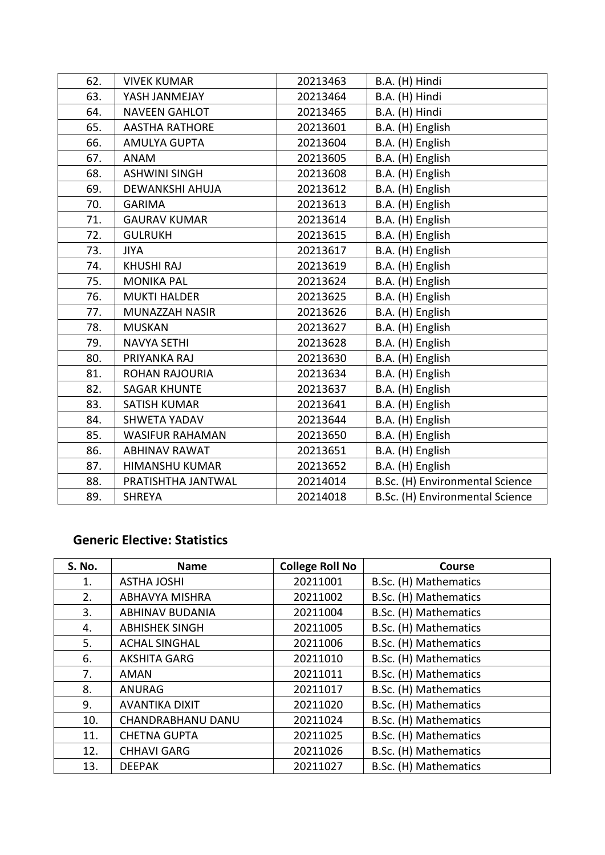| 62. | <b>VIVEK KUMAR</b>     | 20213463 | B.A. (H) Hindi                  |
|-----|------------------------|----------|---------------------------------|
| 63. | YASH JANMEJAY          | 20213464 | B.A. (H) Hindi                  |
| 64. | <b>NAVEEN GAHLOT</b>   | 20213465 | B.A. (H) Hindi                  |
| 65. | <b>AASTHA RATHORE</b>  | 20213601 | B.A. (H) English                |
| 66. | <b>AMULYA GUPTA</b>    | 20213604 | B.A. (H) English                |
| 67. | <b>ANAM</b>            | 20213605 | B.A. (H) English                |
| 68. | <b>ASHWINI SINGH</b>   | 20213608 | B.A. (H) English                |
| 69. | <b>DEWANKSHI AHUJA</b> | 20213612 | B.A. (H) English                |
| 70. | <b>GARIMA</b>          | 20213613 | B.A. (H) English                |
| 71. | <b>GAURAV KUMAR</b>    | 20213614 | B.A. (H) English                |
| 72. | <b>GULRUKH</b>         | 20213615 | B.A. (H) English                |
| 73. | <b>JIYA</b>            | 20213617 | B.A. (H) English                |
| 74. | <b>KHUSHI RAJ</b>      | 20213619 | B.A. (H) English                |
| 75. | <b>MONIKA PAL</b>      | 20213624 | B.A. (H) English                |
| 76. | <b>MUKTI HALDER</b>    | 20213625 | B.A. (H) English                |
| 77. | MUNAZZAH NASIR         | 20213626 | B.A. (H) English                |
| 78. | <b>MUSKAN</b>          | 20213627 | B.A. (H) English                |
| 79. | <b>NAVYA SETHI</b>     | 20213628 | B.A. (H) English                |
| 80. | PRIYANKA RAJ           | 20213630 | B.A. (H) English                |
| 81. | <b>ROHAN RAJOURIA</b>  | 20213634 | B.A. (H) English                |
| 82. | <b>SAGAR KHUNTE</b>    | 20213637 | B.A. (H) English                |
| 83. | <b>SATISH KUMAR</b>    | 20213641 | B.A. (H) English                |
| 84. | <b>SHWETA YADAV</b>    | 20213644 | B.A. (H) English                |
| 85. | <b>WASIFUR RAHAMAN</b> | 20213650 | B.A. (H) English                |
| 86. | <b>ABHINAV RAWAT</b>   | 20213651 | B.A. (H) English                |
| 87. | HIMANSHU KUMAR         | 20213652 | B.A. (H) English                |
| 88. | PRATISHTHA JANTWAL     | 20214014 | B.Sc. (H) Environmental Science |
| 89. | <b>SHREYA</b>          | 20214018 | B.Sc. (H) Environmental Science |

#### **Generic Elective: Statistics**

| S. No. | <b>Name</b>            | <b>College Roll No</b> | <b>Course</b>         |
|--------|------------------------|------------------------|-----------------------|
| 1.     | <b>ASTHA JOSHI</b>     | 20211001               | B.Sc. (H) Mathematics |
| 2.     | <b>ABHAVYA MISHRA</b>  | 20211002               | B.Sc. (H) Mathematics |
| 3.     | <b>ABHINAV BUDANIA</b> | 20211004               | B.Sc. (H) Mathematics |
| 4.     | <b>ABHISHEK SINGH</b>  | 20211005               | B.Sc. (H) Mathematics |
| 5.     | <b>ACHAL SINGHAL</b>   | 20211006               | B.Sc. (H) Mathematics |
| 6.     | <b>AKSHITA GARG</b>    | 20211010               | B.Sc. (H) Mathematics |
| 7.     | <b>AMAN</b>            | 20211011               | B.Sc. (H) Mathematics |
| 8.     | <b>ANURAG</b>          | 20211017               | B.Sc. (H) Mathematics |
| 9.     | <b>AVANTIKA DIXIT</b>  | 20211020               | B.Sc. (H) Mathematics |
| 10.    | CHANDRABHANU DANU      | 20211024               | B.Sc. (H) Mathematics |
| 11.    | <b>CHETNA GUPTA</b>    | 20211025               | B.Sc. (H) Mathematics |
| 12.    | <b>CHHAVI GARG</b>     | 20211026               | B.Sc. (H) Mathematics |
| 13.    | <b>DEEPAK</b>          | 20211027               | B.Sc. (H) Mathematics |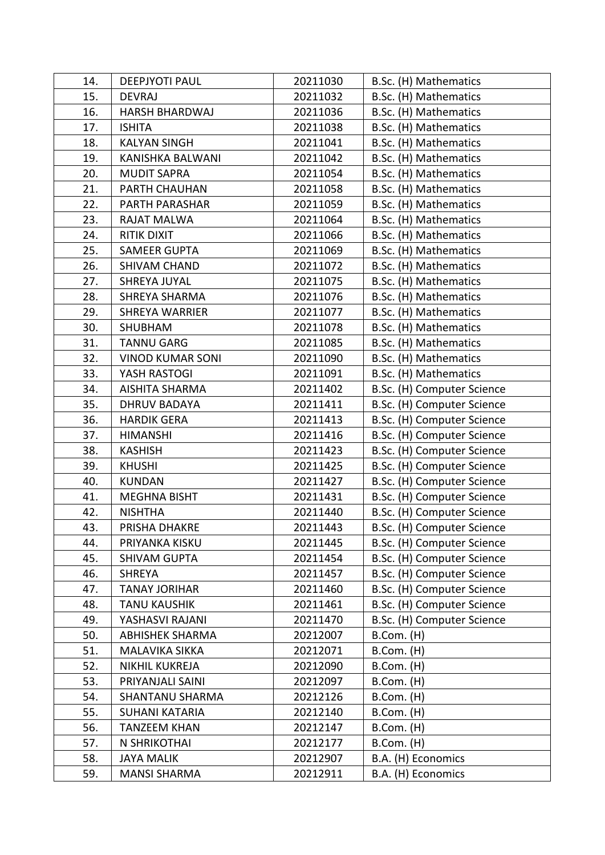| 14. | <b>DEEPJYOTI PAUL</b>   | 20211030 | B.Sc. (H) Mathematics      |
|-----|-------------------------|----------|----------------------------|
| 15. | <b>DEVRAJ</b>           | 20211032 | B.Sc. (H) Mathematics      |
| 16. | <b>HARSH BHARDWAJ</b>   | 20211036 | B.Sc. (H) Mathematics      |
| 17. | <b>ISHITA</b>           | 20211038 | B.Sc. (H) Mathematics      |
| 18. | <b>KALYAN SINGH</b>     | 20211041 | B.Sc. (H) Mathematics      |
| 19. | KANISHKA BALWANI        | 20211042 | B.Sc. (H) Mathematics      |
| 20. | <b>MUDIT SAPRA</b>      | 20211054 | B.Sc. (H) Mathematics      |
| 21. | PARTH CHAUHAN           | 20211058 | B.Sc. (H) Mathematics      |
| 22. | PARTH PARASHAR          | 20211059 | B.Sc. (H) Mathematics      |
| 23. | <b>RAJAT MALWA</b>      | 20211064 | B.Sc. (H) Mathematics      |
| 24. | RITIK DIXIT             | 20211066 | B.Sc. (H) Mathematics      |
| 25. | <b>SAMEER GUPTA</b>     | 20211069 | B.Sc. (H) Mathematics      |
| 26. | <b>SHIVAM CHAND</b>     | 20211072 | B.Sc. (H) Mathematics      |
| 27. | SHREYA JUYAL            | 20211075 | B.Sc. (H) Mathematics      |
| 28. | <b>SHREYA SHARMA</b>    | 20211076 | B.Sc. (H) Mathematics      |
| 29. | <b>SHREYA WARRIER</b>   | 20211077 | B.Sc. (H) Mathematics      |
| 30. | <b>SHUBHAM</b>          | 20211078 | B.Sc. (H) Mathematics      |
| 31. | <b>TANNU GARG</b>       | 20211085 | B.Sc. (H) Mathematics      |
| 32. | <b>VINOD KUMAR SONI</b> | 20211090 | B.Sc. (H) Mathematics      |
| 33. | YASH RASTOGI            | 20211091 | B.Sc. (H) Mathematics      |
| 34. | <b>AISHITA SHARMA</b>   | 20211402 | B.Sc. (H) Computer Science |
| 35. | <b>DHRUV BADAYA</b>     | 20211411 | B.Sc. (H) Computer Science |
| 36. | <b>HARDIK GERA</b>      | 20211413 | B.Sc. (H) Computer Science |
| 37. | <b>HIMANSHI</b>         | 20211416 | B.Sc. (H) Computer Science |
| 38. | <b>KASHISH</b>          | 20211423 | B.Sc. (H) Computer Science |
| 39. | <b>KHUSHI</b>           | 20211425 | B.Sc. (H) Computer Science |
| 40. | <b>KUNDAN</b>           | 20211427 | B.Sc. (H) Computer Science |
| 41. | <b>MEGHNA BISHT</b>     | 20211431 | B.Sc. (H) Computer Science |
| 42. | <b>NISHTHA</b>          | 20211440 | B.Sc. (H) Computer Science |
| 43. | PRISHA DHAKRE           | 20211443 | B.Sc. (H) Computer Science |
| 44. | PRIYANKA KISKU          | 20211445 | B.Sc. (H) Computer Science |
| 45. | <b>SHIVAM GUPTA</b>     | 20211454 | B.Sc. (H) Computer Science |
| 46. | <b>SHREYA</b>           | 20211457 | B.Sc. (H) Computer Science |
| 47. | <b>TANAY JORIHAR</b>    | 20211460 | B.Sc. (H) Computer Science |
| 48. | <b>TANU KAUSHIK</b>     | 20211461 | B.Sc. (H) Computer Science |
| 49. | YASHASVI RAJANI         | 20211470 | B.Sc. (H) Computer Science |
| 50. | <b>ABHISHEK SHARMA</b>  | 20212007 | B.Com. (H)                 |
| 51. | MALAVIKA SIKKA          | 20212071 | B.Com. (H)                 |
| 52. | NIKHIL KUKREJA          | 20212090 | B.Com. (H)                 |
| 53. | PRIYANJALI SAINI        | 20212097 | B.Com. (H)                 |
| 54. | <b>SHANTANU SHARMA</b>  | 20212126 | B.Com. (H)                 |
| 55. | <b>SUHANI KATARIA</b>   | 20212140 | $B.$ Com. $(H)$            |
| 56. | <b>TANZEEM KHAN</b>     | 20212147 | B.Com. (H)                 |
| 57. | N SHRIKOTHAI            | 20212177 | B.Com. (H)                 |
| 58. | <b>JAYA MALIK</b>       | 20212907 | B.A. (H) Economics         |
| 59. | <b>MANSI SHARMA</b>     | 20212911 | B.A. (H) Economics         |